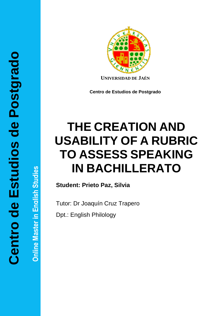**Online Master in English Studies Online Master in English Studies**



**UNIVERSIDAD DE JAÉN**

**Centro de Estudios de Postgrado**

# **THE CREATION AND USABILITY OF A RUBRIC TO ASSESS SPEAKING IN BACHILLERATO**

**Student: Prieto Paz, Silvia**

Tutor: Dr Joaquín Cruz Trapero

Dpt.: English Philology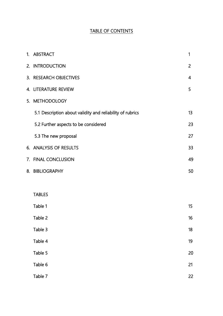# TABLE OF CONTENTS

| 1. ABSTRACT                                               | 1              |
|-----------------------------------------------------------|----------------|
| 2. INTRODUCTION                                           | $\overline{2}$ |
| 3. RESEARCH OBJECTIVES                                    | 4              |
| 4. LITERATURE REVIEW                                      | 5              |
| 5. METHODOLOGY                                            |                |
| 5.1 Description about validity and reliability of rubrics | 13             |
| 5.2 Further aspects to be considered                      | 23             |
| 5.3 The new proposal                                      | 27             |
| 6. ANALYSIS OF RESULTS                                    | 33             |
| 7. FINAL CONCLUSION                                       | 49             |
| 8. BIBLIOGRAPHY                                           | 50             |
|                                                           |                |
| <b>TABLES</b>                                             |                |
| Table 1                                                   | 15             |
| Table 2                                                   | 16             |
| Table 3                                                   | 18             |
| Table 4                                                   | 19             |
| Table 5                                                   | 20             |
| Table 6                                                   | 21             |
| Table 7                                                   | 22             |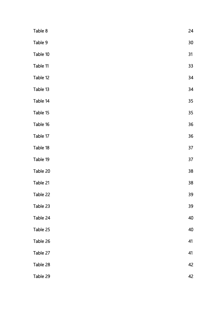| Table 8  | 24   |
|----------|------|
| Table 9  | $30$ |
| Table 10 | 31   |
| Table 11 | 33   |
| Table 12 | 34   |
| Table 13 | 34   |
| Table 14 | 35   |
| Table 15 | 35   |
| Table 16 | 36   |
| Table 17 | 36   |
| Table 18 | 37   |
| Table 19 | 37   |
| Table 20 | 38   |
| Table 21 | 38   |
| Table 22 | 39   |
| Table 23 | 39   |
| Table 24 | 40   |
| Table 25 | 40   |
| Table 26 | 41   |
| Table 27 | 41   |
| Table 28 | 42   |
| Table 29 | 42   |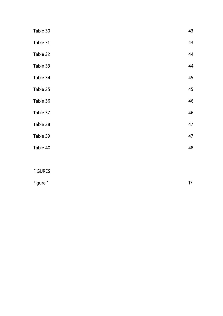| Table 30       | 43 |
|----------------|----|
| Table 31       | 43 |
| Table 32       | 44 |
| Table 33       | 44 |
| Table 34       | 45 |
| Table 35       | 45 |
| Table 36       | 46 |
| Table 37       | 46 |
| Table 38       | 47 |
| Table 39       | 47 |
| Table 40       | 48 |
|                |    |
| <b>FIGURES</b> |    |

| Figure 1 | 17 |
|----------|----|
|          |    |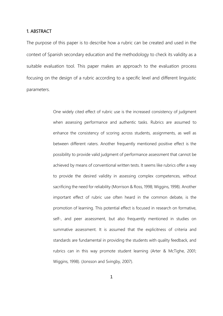# 1. ABSTRACT

The purpose of this paper is to describe how a rubric can be created and used in the context of Spanish secondary education and the methodology to check its validity as a suitable evaluation tool. This paper makes an approach to the evaluation process focusing on the design of a rubric according to a specific level and different linguistic parameters.

> One widely cited effect of rubric use is the increased consistency of judgment when assessing performance and authentic tasks. Rubrics are assumed to enhance the consistency of scoring across students, assignments, as well as between different raters. Another frequently mentioned positive effect is the possibility to provide valid judgment of performance assessment that cannot be achieved by means of conventional written tests. It seems like rubrics offer a way to provide the desired validity in assessing complex competences, without sacrificing the need for reliability (Morrison & Ross, 1998; Wiggins, 1998). Another important effect of rubric use often heard in the common debate, is the promotion of learning. This potential effect is focused in research on formative, self-, and peer assessment, but also frequently mentioned in studies on summative assessment. It is assumed that the explicitness of criteria and standards are fundamental in providing the students with quality feedback, and rubrics can in this way promote student learning (Arter & McTighe, 2001; Wiggins, 1998). (Jonsson and Svingby, 2007).

> > 1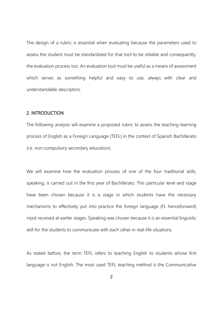The design of a rubric is essential when evaluating because the parameters used to assess the student must be standardized for that tool to be reliable and consequently, the evaluation process too. An evaluation tool must be useful as a means of assessment which serves as something helpful and easy to use, always with clear and understandable descriptors.

# 2. INTRODUCTION

The following analysis will examine a proposed rubric to assess the teaching-learning process of English as a Foreign Language (TEFL) in the context of Spanish Bachillerato (i.e. non-compulsory secondary education).

We will examine how the evaluation process of one of the four traditional skills, speaking, is carried out in the first year of Bachillerato. This particular level and stage have been chosen because it is a stage in which students have the necessary mechanisms to effectively put into practice the foreign language (FL henceforward) input received at earlier stages. Speaking was chosen because it is an essential linguistic skill for the students to communicate with each other in real-life situations.

As stated before, the term TEFL refers to teaching English to students whose first language is not English. The most used TEFL teaching method is the Communicative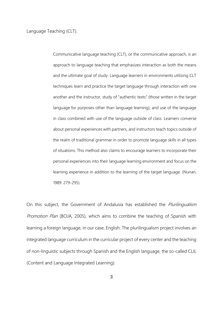Language Teaching (CLT).

Communicative language teaching (CLT), or the communicative approach, is an approach to language teaching that emphasizes interaction as both the means and the ultimate goal of study. Language learners in environments utilizing CLT techniques learn and practice the target language through interaction with one another and the instructor, study of "authentic texts" (those written in the target language for purposes other than language learning), and use of the language in class combined with use of the language outside of class. Learners converse about personal experiences with partners, and instructors teach topics outside of the realm of traditional grammar in order to promote language skills in all types of situations. This method also claims to encourage learners to incorporate their personal experiences into their language learning environment and focus on the learning experience in addition to the learning of the target language. (Nunan, 1989: 279-295).

On this subject, the Government of Andalusia has established the *Plurilingualism* Promotion Plan (BOJA, 2005), which aims to combine the teaching of Spanish with learning a foreign language, in our case, English. The plurilingualism project involves an integrated language curriculum in the curricular project of every center and the teaching of non-linguistic subjects through Spanish and the English language, the so-called CLIL (Content and Language Integrated Learning).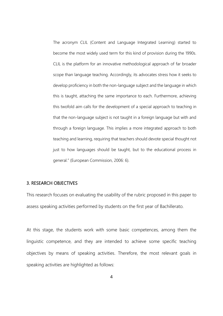The acronym CLIL (Content and Language Integrated Learning) started to become the most widely used term for this kind of provision during the 1990s. CLIL is the platform for an innovative methodological approach of far broader scope than language teaching. Accordingly, its advocates stress how it seeks to develop proficiency in both the non-language subject and the language in which this is taught, attaching the same importance to each. Furthermore, achieving this twofold aim calls for the development of a special approach to teaching in that the non-language subject is not taught in a foreign language but with and through a foreign language. This implies a more integrated approach to both teaching and learning, requiring that teachers should devote special thought not just to how languages should be taught, but to the educational process in general." (European Commission, 2006: 6).

# 3. RESEARCH OBJECTIVES

This research focuses on evaluating the usability of the rubric proposed in this paper to assess speaking activities performed by students on the first year of Bachillerato.

At this stage, the students work with some basic competences, among them the linguistic competence, and they are intended to achieve some specific teaching objectives by means of speaking activities. Therefore, the most relevant goals in speaking activities are highlighted as follows: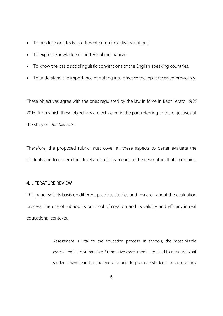- To produce oral texts in different communicative situations.
- To express knowledge using textual mechanism.
- To know the basic sociolinguistic conventions of the English speaking countries.
- To understand the importance of putting into practice the input received previously.

These objectives agree with the ones regulated by the law in force in Bachillerato: BOE 2015, from which these objectives are extracted in the part referring to the objectives at the stage of *Bachillerato*.

Therefore, the proposed rubric must cover all these aspects to better evaluate the students and to discern their level and skills by means of the descriptors that it contains.

# 4. LITERATURE REVIEW

This paper sets its basis on different previous studies and research about the evaluation process, the use of rubrics, its protocol of creation and its validity and efficacy in real educational contexts.

> Assessment is vital to the education process. In schools, the most visible assessments are summative. Summative assessments are used to measure what students have learnt at the end of a unit, to promote students, to ensure they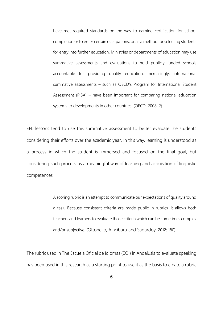have met required standards on the way to earning certification for school completion or to enter certain occupations, or as a method for selecting students for entry into further education. Ministries or departments of education may use summative assessments and evaluations to hold publicly funded schools accountable for providing quality education. Increasingly, international summative assessments – such as OECD's Program for International Student Assessment (PISA) – have been important for comparing national education systems to developments in other countries. (OECD, 2008: 2)

EFL lessons tend to use this summative assessment to better evaluate the students considering their efforts over the academic year. In this way, learning is understood as a process in which the student is immersed and focused on the final goal, but considering such process as a meaningful way of learning and acquisition of linguistic competences.

> A scoring rubric is an attempt to communicate our expectations of quality around a task. Because consistent criteria are made public in rubrics, it allows both teachers and learners to evaluate those criteria which can be sometimes complex and/or subjective. (Ottonello, Ainciburu and Sagardoy, 2012: 180).

The rubric used in The Escuela Oficial de Idiomas (EOI) in Andalusia to evaluate speaking has been used in this research as a starting point to use it as the basis to create a rubric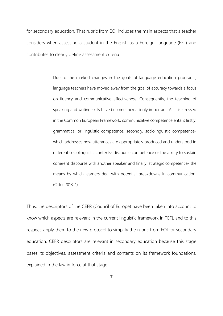for secondary education. That rubric from EOI includes the main aspects that a teacher considers when assessing a student in the English as a Foreign Language (EFL) and contributes to clearly define assessment criteria.

> Due to the marked changes in the goals of language education programs, language teachers have moved away from the goal of accuracy towards a focus on fluency and communicative effectiveness. Consequently, the teaching of speaking and writing skills have become increasingly important. As it is stressed in the Common European Framework, communicative competence entails firstly, grammatical or linguistic competence, secondly, sociolinguistic competencewhich addresses how utterances are appropriately produced and understood in different sociolinguistic contexts- discourse competence or the ability to sustain coherent discourse with another speaker and finally, strategic competence- the means by which learners deal with potential breakdowns in communication. (Otto, 2013: 1)

Thus, the descriptors of the CEFR (Council of Europe) have been taken into account to know which aspects are relevant in the current linguistic framework in TEFL and to this respect, apply them to the new protocol to simplify the rubric from EOI for secondary education. CEFR descriptors are relevant in secondary education because this stage bases its objectives, assessment criteria and contents on its framework foundations, explained in the law in force at that stage.

7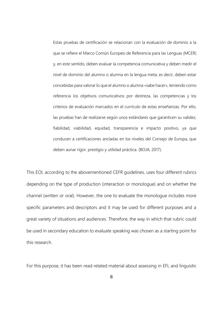Estas pruebas de certificación se relacionan con la evaluación de dominio a la que se refiere el Marco Común Europeo de Referencia para las Lenguas (MCER) y, en este sentido, deben evaluar la competencia comunicativa y deben medir el nivel de dominio del alumno o alumna en la lengua meta; es decir, deben estar concebidas para valorar lo que el alumno o alumna «sabe hacer», teniendo como referencia los objetivos comunicativos por destreza, las competencias y los criterios de evaluación marcados en el currículo de estas enseñanzas. Por ello, las pruebas han de realizarse según unos estándares que garanticen su validez, fiabilidad, viabilidad, equidad, transparencia e impacto positivo, ya que conducen a certificaciones ancladas en los niveles del Consejo de Europa, que deben aunar rigor, prestigio y utilidad práctica. (BOJA, 2017).

This EOI, according to the abovementioned CEFR guidelines, uses four different rubrics depending on the type of production (interaction or monologue) and on whether the channel (written or oral). However, the one to evaluate the monologue includes more specific parameters and descriptors and it may be used for different purposes and a great variety of situations and audiences. Therefore, the way in which that rubric could be used in secondary education to evaluate speaking was chosen as a starting point for this research.

For this purpose, it has been read related material about assessing in EFL and linguistic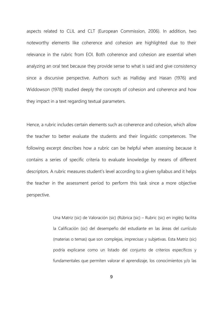aspects related to CLIL and CLT (European Commission, 2006). In addition, two noteworthy elements like coherence and cohesion are highlighted due to their relevance in the rubric from EOI. Both coherence and cohesion are essential when analyzing an oral text because they provide sense to what is said and give consistency since a discursive perspective. Authors such as Halliday and Hasan (1976) and Widdowson (1978) studied deeply the concepts of cohesion and coherence and how they impact in a text regarding textual parameters.

Hence, a rubric includes certain elements such as coherence and cohesion, which allow the teacher to better evaluate the students and their linguistic competences. The following excerpt describes how a rubric can be helpful when assessing because it contains a series of specific criteria to evaluate knowledge by means of different descriptors. A rubric measures student's level according to a given syllabus and it helps the teacher in the assessment period to perform this task since a more objective perspective.

> Una Matriz (sic) de Valoración (sic) (Rúbrica (sic) – Rubric (sic) en inglés) facilita la Calificación (sic) del desempeño del estudiante en las áreas del currículo (materias o temas) que son complejas, imprecisas y subjetivas. Esta Matriz (sic) podría explicarse como un listado del conjunto de criterios específicos y fundamentales que permiten valorar el aprendizaje, los conocimientos y/o las

> > 9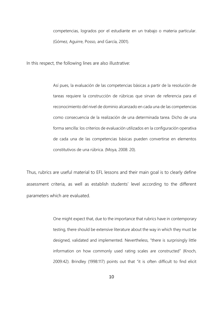competencias, logrados por el estudiante en un trabajo o materia particular. (Gómez, Aguirre, Posso, and García, 2001).

In this respect, the following lines are also illustrative:

Así pues, la evaluación de las competencias básicas a partir de la resolución de tareas requiere la construcción de rúbricas que sirvan de referencia para el reconocimiento del nivel de dominio alcanzado en cada una de las competencias como consecuencia de la realización de una determinada tarea. Dicho de una forma sencilla: los criterios de evaluación utilizados en la configuración operativa de cada una de las competencias básicas pueden convertirse en elementos constitutivos de una rúbrica. (Moya, 2008: 20).

Thus, rubrics are useful material to EFL lessons and their main goal is to clearly define assessment criteria, as well as establish students' level according to the different parameters which are evaluated.

> One might expect that, due to the importance that rubrics have in contemporary testing, there should be extensive literature about the way in which they must be designed, validated and implemented. Nevertheless, "there is surprisingly little information on how commonly used rating scales are constructed" (Knoch, 2009:42). Brindley (1998:117) points out that "it is often difficult to find elicit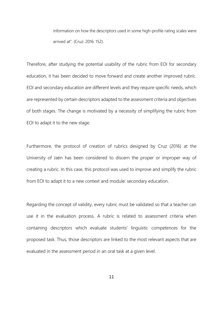information on how the descriptors used in some high-profile rating scales were arrived at". (Cruz: 2016: 152).

Therefore, after studying the potential usability of the rubric from EOI for secondary education, it has been decided to move forward and create another improved rubric. EOI and secondary education are different levels and they require specific needs, which are represented by certain descriptors adapted to the assessment criteria and objectives of both stages. The change is motivated by a necessity of simplifying the rubric from EOI to adapt it to the new stage.

Furthermore, the protocol of creation of rubrics designed by Cruz (2016) at the University of Jaén has been considered to discern the proper or improper way of creating a rubric. In this case, this protocol was used to improve and simplify the rubric from EOI to adapt it to a new context and module: secondary education.

Regarding the concept of validity, every rubric must be validated so that a teacher can use it in the evaluation process. A rubric is related to assessment criteria when containing descriptors which evaluate students' linguistic competences for the proposed task. Thus, those descriptors are linked to the most relevant aspects that are evaluated in the assessment period in an oral task at a given level.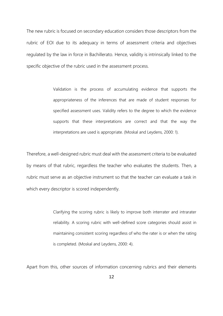The new rubric is focused on secondary education considers those descriptors from the rubric of EOI due to its adequacy in terms of assessment criteria and objectives regulated by the law in force in Bachillerato. Hence, validity is intrinsically linked to the specific objective of the rubric used in the assessment process.

> Validation is the process of accumulating evidence that supports the appropriateness of the inferences that are made of student responses for specified assessment uses. Validity refers to the degree to which the evidence supports that these interpretations are correct and that the way the interpretations are used is appropriate. (Moskal and Leydens, 2000: 1).

Therefore, a well-designed rubric must deal with the assessment criteria to be evaluated by means of that rubric, regardless the teacher who evaluates the students. Then, a rubric must serve as an objective instrument so that the teacher can evaluate a task in which every descriptor is scored independently.

> Clarifying the scoring rubric is likely to improve both interrater and intrarater reliability. A scoring rubric with well-defined score categories should assist in maintaining consistent scoring regardless of who the rater is or when the rating is completed. (Moskal and Leydens, 2000: 4).

Apart from this, other sources of information concerning rubrics and their elements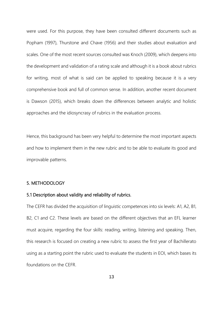were used. For this purpose, they have been consulted different documents such as Popham (1997), Thurstone and Chave (1956) and their studies about evaluation and scales. One of the most recent sources consulted was Knoch (2009), which deepens into the development and validation of a rating scale and although it is a book about rubrics for writing, most of what is said can be applied to speaking because it is a very comprehensive book and full of common sense. In addition, another recent document is Dawson (2015), which breaks down the differences between analytic and holistic approaches and the idiosyncrasy of rubrics in the evaluation process.

Hence, this background has been very helpful to determine the most important aspects and how to implement them in the new rubric and to be able to evaluate its good and improvable patterns.

# 5. METHODOLOGY

# 5.1 Description about validity and reliability of rubrics.

The CEFR has divided the acquisition of linguistic competences into six levels: A1, A2, B1, B2, C1 and C2. These levels are based on the different objectives that an EFL learner must acquire, regarding the four skills: reading, writing, listening and speaking. Then, this research is focused on creating a new rubric to assess the first year of Bachillerato using as a starting point the rubric used to evaluate the students in EOI, which bases its foundations on the CEFR.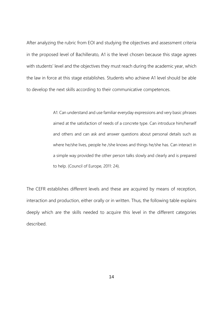After analyzing the rubric from EOI and studying the objectives and assessment criteria in the proposed level of Bachillerato, A1 is the level chosen because this stage agrees with students' level and the objectives they must reach during the academic year, which the law in force at this stage establishes. Students who achieve A1 level should be able to develop the next skills according to their communicative competences.

> A1: Can understand and use familiar everyday expressions and very basic phrases aimed at the satisfaction of needs of a concrete type. Can introduce him/herself and others and can ask and answer questions about personal details such as where he/she lives, people he /she knows and things he/she has. Can interact in a simple way provided the other person talks slowly and clearly and is prepared to help. (Council of Europe, 2011: 24).

The CEFR establishes different levels and these are acquired by means of reception, interaction and production, either orally or in written. Thus, the following table explains deeply which are the skills needed to acquire this level in the different categories described.

14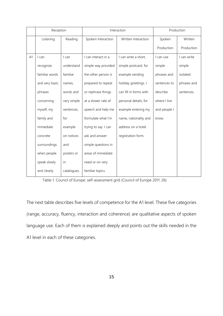|    | Reception      |             | Interaction          |                        | Production   |             |
|----|----------------|-------------|----------------------|------------------------|--------------|-------------|
|    | Listening      | Reading     | Spoken Interaction   | Written Interaction    | Spoken       | Written     |
|    |                |             |                      |                        | Production   | Production  |
| A1 | I can          | I can       | I can interact in a  | I can write a short,   | I can use    | I can write |
|    | recognize      | understand  | simple way provided  | simple postcard, for   | simple       | simple      |
|    | familiar words | familiar    | the other person is  | example sending        | phrases and  | isolated    |
|    | and very basic | names,      | prepared to repeat   | holiday greetings. I   | sentences to | phrases and |
|    | phrases        | words and   | or rephrase things   | can fill in forms with | describe     | sentences.  |
|    | concerning     | very simple | at a slower rate of  | personal details, for  | where I live |             |
|    | myself, my     | sentences,  | speech and help me   | example entering my    | and people I |             |
|    | family and     | for         | formulate what I'm   | name, nationality and  | know.        |             |
|    | immediate      | example     | trying to say. I can | address on a hotel     |              |             |
|    | concrete       | on notices  | ask and answer       | registration form.     |              |             |
|    | surroundings   | and         | simple questions in  |                        |              |             |
|    | when people    | posters or  | areas of immediate   |                        |              |             |
|    | speak slowly   | in          | need or on very      |                        |              |             |
|    | and clearly.   | catalogues. | familiar topics.     |                        |              |             |

Table 1. Council of Europe: self-assessment grid (Council of Europe 2011: 26)

The next table describes five levels of competence for the A1 level. These five categories (range, accuracy, fluency, interaction and coherence) are qualitative aspects of spoken language use. Each of them is explained deeply and points out the skills needed in the A1 level in each of these categories.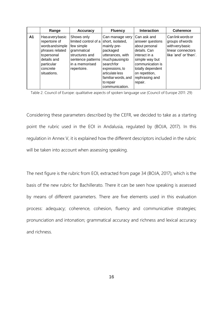|    | Range                                                                                                                                     | <b>Accuracy</b>                                                                                                                          | <b>Fluency</b>                                                                                                                                                                                               | <b>Interaction</b>                                                                                                                                                                           | <b>Coherence</b>                                                                                      |
|----|-------------------------------------------------------------------------------------------------------------------------------------------|------------------------------------------------------------------------------------------------------------------------------------------|--------------------------------------------------------------------------------------------------------------------------------------------------------------------------------------------------------------|----------------------------------------------------------------------------------------------------------------------------------------------------------------------------------------------|-------------------------------------------------------------------------------------------------------|
| A1 | Hasaverybasic<br>repertoire of<br>wordsandsimple<br>phrases related<br>topersonal<br>details and<br>particular<br>concrete<br>situations. | Shows only<br>limited control of a<br>few simple<br>grammatical<br>structures and<br>sentence patterns<br>lin a memorised<br>repertoire. | Can manage very<br>short, isolated,<br>mainly pre-<br>packaged<br>utterances, with<br>muchpausingto<br>searchfor<br>expressions, to<br>articulate less<br>familiar words, and<br>to repair<br>communication. | Can ask and<br>answer questions<br>about personal<br>details. Can<br>interact in a<br>simple way but<br>communication is<br>totally dependent<br>on repetition,<br>rephrasing and<br>repair. | Can link words or<br>groups of words<br>with very basic<br>linear connectors<br>like 'and' or 'then'. |

Table 2. Council of Europe: qualitative aspects of spoken language use (Council of Europe 2011: 29)

Considering these parameters described by the CEFR, we decided to take as a starting point the rubric used in the EOI in Andalusia, regulated by (BOJA, 2017). In this regulation in Annex V, it is explained how the different descriptors included in the rubric will be taken into account when assessing speaking.

The next figure is the rubric from EOI, extracted from page 34 (BOJA, 2017), which is the basis of the new rubric for Bachillerato. There it can be seen how speaking is assessed by means of different parameters. There are five elements used in this evaluation process: adequacy; coherence, cohesion, fluency and communicative strategies; pronunciation and intonation; grammatical accuracy and richness and lexical accuracy and richness.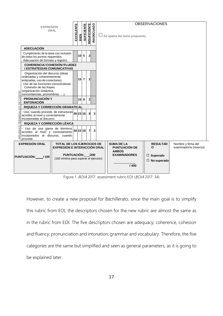

Figure 1. BOJA 2017: assessment rubric EOI (BOJA 2017: 34)

However, to create a new proposal for Bachillerato, since the main goal is to simplify this rubric from EOI, the descriptors chosen for the new rubric are almost the same as in the rubric from EOI. The five descriptors chosen are adequacy; coherence, cohesion and fluency; pronunciation and intonation; grammar and vocabulary. Therefore, the five categories are the same but simplified and seen as general parameters, as it is going to be explained later.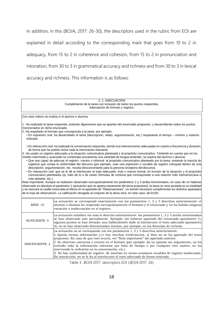In addition, in this (BOJA, 2017: 26-30), the descriptors used in the rubric from EOI are explained in detail according to the corresponding mark that goes from 10 to 2 in adequacy, from 15 to 2 in coherence and cohesion, from 15 to 2 in pronunciation and intonation, from 30 to 3 in grammatical accuracy and richness and from 30 to 3 in lexical accuracy and richness. This information is as follows:

#### 2. 1. ADECUACIÓN Cumplimiento de la tarea con inclusión de todos los puntos requeridos. Adecuación de formato y registro.

Con este criterio se evalúa si el alumno o alumna:

1. Ha realizado la tarea requerida, evitando digresiones que se aparten del enunciado propuesto, y desarrollando todos los puntos mencionados en dicho enunciado.

2. Ha respetado el formato que corresponda a la tarea, por ejemplo:

• En expresión oral: ha desarrollado el tema (descripción, relato, argumentación, etc.) respetando el tiempo – mínimo y máximo indicado.

• En interacción oral: ha realizado la conversación requerida, siendo sus intervenciones adecuadas en cuanto a frecuencia y duración, de forma que ha podido incluir toda la información relevante.

3. Ha usado un registro adecuado a la situación comunicativa planteada y al propósito comunicativo. Teniendo en cuenta que en los niveles intermedio y avanzado se contempla únicamente una variedad de lengua estándar, se espera del alumno o alumna:

• Que sea capaz de adecuar el registro –neutro o informal- al propósito comunicativo planteado por la tarea, evitando la mezcla de registros que rompa la uniformidad del discurso (por ejemplo, usar una expresión o vocablo de registro coloquial dentro de una descripción, argumentación, etc. resulta desconcertante para la persona receptora del discurso).

• En interacción oral: que se le dé al interlocutor el trato adecuado, más o menos formal, en función de la situación y el propósito comunicativo planteados (ej. trato de tú o de usted, fórmulas de cortesía que correspondan a una relación más íntima/cercana o más distante, etc.).

Nota importante: Aunque se hubiesen observado escrupulosamente los parámetros 2 y 3 arriba mencionados, en caso de no haberse observado en absoluto el parámetro 1 (actuación que se aparta claramente del tema propuesto), la tarea se verá anulada en su totalidad y se marcará la casilla reservada al efecto en el apartado de "Observaciones", no siendo necesario cumplimentar los distintos apartados de la hoja de observación. La calificación otorgada al conjunto de la tarea será, en este caso, de 0/100.

| <b>BIEN: 10</b>        | La actuación se corresponde exactamente con los parámetros 1, 2 y 3 descritos anteriormente: el<br>alumno o alumna ha respetado escrupulosamente el formato y el enunciado y no ha habido ninguna<br>variación o inadecuación en el registro.                                                                                                                                                                                                                                                                                                                                                                                                                                                                                                |
|------------------------|----------------------------------------------------------------------------------------------------------------------------------------------------------------------------------------------------------------------------------------------------------------------------------------------------------------------------------------------------------------------------------------------------------------------------------------------------------------------------------------------------------------------------------------------------------------------------------------------------------------------------------------------------------------------------------------------------------------------------------------------|
| <b>SUFICIENTE: 5</b>   | La actuación satisface sin más lo descrito anteriormente: los parámetros 1, 2 y 3 arriba mencionados<br>se han observado solo parcialmente. Ejemplo: sin haberse apartado del enunciado (parámetro 1),<br>algunos puntos se han obviado; aun habiéndosele dado al interlocutor el trato adecuado (parámetro)<br>3), no se han observado determinadas normas, por ejemplo, en las fórmulas de cortesía.                                                                                                                                                                                                                                                                                                                                       |
| <b>INSUFICIENTE: 2</b> | La actuación no se corresponde con los parámetros 1, $2 \gamma$ 3 descritos anteriormente.<br>1. Aporta escasa información y/o hay muchas irrelevancias, si bien no se ha apartado del tema<br>propuesto. En caso de que esto ocurra, ver "Nota importante" del apartado anterior.<br>2. Se observan carencias o errores en el formato (por ejemplo: da su opinión sin argumentar, no ha<br>incluido toda la información relevante por falta de tiempo o por cualquier otro motivo, no ha<br>intervenido lo suficiente en la conversación, etc.).<br>3. No hay uniformidad de registro. Se mezclan en varias ocasiones vocablos de registro inadecuado.<br>En interacción: no se le da al interlocutor el trato adecuado de forma reiterada. |

Table 3. BOJA 2017: descriptors EOI (BOJA 2017: 26)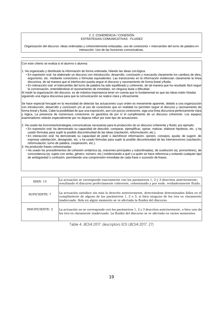#### 2. 2. COHERENCIA / COHESIÓN ESTRATEGIAS COMUNICATIVAS - FLUIDEZ

Organización del discurso: ideas ordenadas y coherentemente enlazadas, uso de conectores + intercambio del turno de palabra en interacción. Uso de las funciones comunicativas.

Cohesión de las frases (organización sintáctica, concordancias, pronombres, …)

Con este criterio se evalúa si el alumno o alumna:

1. Ha organizado y distribuido la información de forma ordenada, hilando las ideas con lógica:

- En expresión oral: ha elaborado un discurso con introducción, desarrollo, conclusión y marcando claramente los cambios de idea, argumento, etc. mediante conectores o fórmulas equivalentes. Las transiciones en la información evidencian claramente la línea discursiva, de tal manera que el interlocutor pueda seguir el discurso y razonamiento de forma lineal yfluida.
- En interacción oral: el intercambio del turno de palabra ha sido equilibrado y coherente, de tal manera que ha resultado fácil seguir la conversación, entendiéndose el razonamiento de inmediato, sin ninguna duda o dificultad.

Al medir la organización del discurso, es de máxima importancia tener en cuenta que lo fundamental es que las ideas estén hiladas siguiendo una lógica discursiva para que la comunicación se realice clara y eficazmente.

Se hace especial hincapié en la necesidad de detectar las actuaciones cuyo orden es meramente aparente, debido a una organización con introducción, desarrollo y conclusión y/o al uso de conectores que en realidad no permiten seguir el discurso y razonamiento de forma lineal y fluida. Cabe la posibilidad de que una exposición, aun con pocos conectores, siga una línea discursiva perfectamente clara y lógica. La presencia de numerosos conectores no garantiza de por sí el cumplimiento de un discurso coherente. Los equipos examinadores velarán especialmente por no dejarse influir por este tipo de actuaciones.

#### 2. Ha usado las funciones/estrategias comunicativas necesarias para la producción de un discurso coherente y fluido; por ejemplo:

- En expresión oral: ha demostrado su capacidad de describir, comparar, ejemplificar, opinar, matizar, elaborar hipótesis, etc. y ha usado fórmulas para suplir la posible discontinuidad de las ideas (vacilación, reformulación, etc.).
- En interacción oral: ha demostrado su capacidad de pedir o dar/ofrecer información, opinión, consejos, ayuda; de sugerir, de expresar satisfacción, desagrado, etc. y ha usado fórmulas para suplir la posible discontinuidad de las intervenciones (vacilación, reformulación, turno de palabra, cooperación, etc.).
- 3. Ha producido frases cohesionadas:

• Ha usado los procedimientos de cohesión sintáctica (ej. oraciones principales y subordinadas), de sustitución (ej. pronombres), de concordancia (ej. sujeto con verbo, género, número, etc.) evidenciando a qué o a quién se hace referencia y evitando cualquier tipo de ambigüedad o confusión, permitiendo una comprensión inmediata de cada frase o sucesión de frases.

| <b>BIEN: 15</b>      | La actuación se corresponde exactamente con los parámetros 1, 2 y 3 descritos anteriormente,<br>resultando el discurso perfectamente coherente, cohesionado y por ende, verdaderamente fluido.                                                                                |
|----------------------|-------------------------------------------------------------------------------------------------------------------------------------------------------------------------------------------------------------------------------------------------------------------------------|
| <b>SUFICIENTE: 7</b> | La actuación satisface sin más lo descrito anteriormente, detectándose determinados fallos en el<br>cumplimiento de alguno de los parámetros 1, 2 o 3, si bien ninguno de los tres es claramente<br>inadecuado. Solo en algún momento se ve afectada la fluidez del discurso. |
| INSUFICIENTE: 2      | La actuación no se corresponde con los parámetros 1, 2 y 3 descritos anteriormente, o bien uno de<br>los tres es claramente inadecuado. La fluidez del discurso se ve afectada en varios momentos.                                                                            |

Table 4. BOJA 2017: descriptors EOI (BOJA 2017: 27)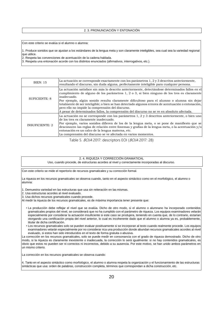#### 2. 3. PRONUNCIACIÓN Y ENTONACIÓN

Con este criterio se evalúa si el alumno o alumna:

1. Produce sonidos que se ajustan a los estándares de la lengua meta y son claramente inteligibles, sea cual sea la variedad regional que utilice.

2. Respeta las convenciones de acentuación de la cadena hablada.

3. Respeta una entonación acorde con los distintos enunciados (afirmativos, interrogativos, etc.).

| <b>BIEN: 15</b>        | La actuación se corresponde exactamente con los parámetros 1, 2 y 3 descritos anteriormente,<br>resultando el discurso, sin duda alguna, perfectamente inteligible para cualquier persona.                                                                                                                                                                                                                                                                                                                                                                             |
|------------------------|------------------------------------------------------------------------------------------------------------------------------------------------------------------------------------------------------------------------------------------------------------------------------------------------------------------------------------------------------------------------------------------------------------------------------------------------------------------------------------------------------------------------------------------------------------------------|
| <b>SUFICIENTE: 8</b>   | La actuación satisface sin más lo descrito anteriormente, detectándose determinados fallos en el<br>cumplimiento de alguno de los parámetros 1, 2 o 3, si bien ninguno de los tres es claramente<br>inadecuado.<br>Por ejemplo, algún sonido resulta claramente dificultoso para el alumno o alumna sin dejar<br>totalmente de ser inteligible; o bien se han detectado algunos errores de acentuación o entonación,<br>pero ello no impide la comprensión del discurso.<br>A pesar de determinados fallos, la comprensión del discurso no se ve en absoluto afectada. |
| <b>INSUFICIENTE: 2</b> | La actuación no se corresponde con los parámetros 1, 2 y 3 descritos anteriormente, o bien uno<br>de los tres es claramente inadecuado.<br>Por ejemplo, varios sonidos difieren de los de la lengua meta, o se pone de manifiesto que se<br>desconocen las reglas de relación entre fonemas y grafías de la lengua meta, o la acentuación y/o<br>entonación es un calco de la lengua materna, etc.<br>La comprensión del discurso se ve afectada en varios momentos.                                                                                                   |

Table 5. *BOJA* 2017: descriptors EOI (*BOJA* 2017: 28)

#### 2. 4. RIQUEZA Y CORRECCIÓN GRAMATICAL

Uso, cuando procede, de estructuras acordes al nivel y correctamente incorporadas al discurso.

Con este criterio se mide el repertorio de recursos gramaticales y su corrección formal.

La riqueza en los recursos gramaticales se observa cuando, tanto en el aspecto sintáctico como en el morfológico, el alumno o alumna:

1. Demuestra variedad en las estructuras que usa sin reiteración en las mismas.

2. Usa estructuras acordes al nivel evaluado.

3. Usa dichos recursos gramaticales cuando procede.

Al medir la riqueza de los recursos gramaticales, es de máxima importancia tener presente que:

- La producción debe reflejar el nivel que se evalúa. Dicho de otro modo, si el alumno o alumnano ha incorporado contenidos gramaticales propios del nivel, se considerará que no ha cumplido con el parámetro de riqueza. Los equipos examinadores velarán especialmente por considerar la actuación insuficiente si este caso se produjera, teniendo en cuenta que, de lo contrario, estarían otorgando una certificación propia del nivel anterior, lo cual es incoherente dado que el alumno o alumna ya es, probablemente, titular de dicha certificación.
- Los recursos gramaticales solo se pueden evaluar positivamente si se incorporan al texto cuando realmente procede. Los equipos examinadores velarán especialmente por no considerar rica una producción donde abundan recursos gramaticales acordes al nivel evaluado, si estos han sido introducidos en el texto de forma gratuita o abusiva.

La corrección en los recursos gramaticales, solo se puede medir en consonancia con el grado de riqueza demostrado. Dicho de otro modo, si la riqueza es claramente inexistente o inadecuada, la corrección lo será igualmente: si no hay contenidos gramaticales, es obvio que estos no pueden ser ni correctos ni incorrectos, debido a su ausencia. Por este motivo, se han unido ambos parámetros en un mismo criterio.

La corrección en los recursos gramaticales se observa cuando:

4. Tanto en el aspecto sintáctico como morfológico, el alumno o alumna respeta la organización y el funcionamiento de las estructuras sintácticas que usa: orden de palabras, construcción completa, términos que correspondan a dicha construcción, etc.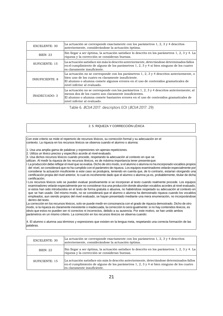| <b>EXCELENTE: 30</b>                                                                                                                                        | La actuación se corresponde exactamente con los parámetros 1, 2, 3 y 4 descritos<br>anteriormente, considerándose la actuación óptima.                                                                                                                                   |  |
|-------------------------------------------------------------------------------------------------------------------------------------------------------------|--------------------------------------------------------------------------------------------------------------------------------------------------------------------------------------------------------------------------------------------------------------------------|--|
| Sin llegar a ser óptima, la actuación satisface lo descrito en los parámetros 1, 2, 3 y 4. La<br>BIENT: 23<br>riqueza y la corrección se consideran buenas. |                                                                                                                                                                                                                                                                          |  |
| SUFICIENTE: 15                                                                                                                                              | La actuación satisface sin más lo descrito anteriormente, detectándose determinados fallos<br>en el cumplimiento de alguno de los parámetros 1, 2, 3 y 4 si bien ninguno de los cuatro<br>es claramente insuficiente.                                                    |  |
| <b>INSUFICIENTE: 8</b>                                                                                                                                      | La actuación no se corresponde con los parámetros 1, 2, 3 y 4 descritos anteriormente, o<br>bien uno de los cuatro es claramente insuficiente.<br>El alumno o alumna comete algunos errores en el uso de contenidos gramaticales de<br>nivel inferior al evaluado.       |  |
| INADECUADO: 3                                                                                                                                               | La actuación no se corresponde con los parámetros 1, 2, 3 y 4 descritos anteriormente; al<br>menos dos de los cuatro son claramente insuficientes.<br>El alumno o alumna comete bastantes errores en el uso de contenidos gramaticales de<br>nivel inferior al evaluado. |  |

Table 6. BOJA 2017: descriptors EOI (BOJA 2017: 29)

#### 2. 5. RIQUEZA Y CORRECCIÓN LÉXICA

Con este criterio se mide el repertorio de recursos léxicos, su corrección formal y su adecuación en el contexto. La riqueza en los recursos léxicos se observa cuando el alumno o alumna:

1. Usa una amplia gama de palabras y expresiones sin apenas repeticiones.

2. Utiliza un léxico preciso y específico acorde al nivel evaluado.

3. Usa dichos recursos léxicos cuando procede, respetando la adecuación al contexto en que se

utilizan. Al medir la riqueza de los recursos léxicos, es de máxima importancia tener presenteque:

• La producción debe reflejar el nivel que se evalúa. Dicho de otro modo, si el alumno o alumna no ha incorporado vocablos propios del nivel, se considerará que no ha cumplido con el parámetro de riqueza. Los equipos examinadores velarán especialmente por considerar la actuación insuficiente si este caso se produjera, teniendo en cuenta que, de lo contrario, estarían otorgando una certificación propia del nivel anterior, lo cual es incoherente dado que el alumno o alumna ya es, probablemente, titular de dicha certificación;

• Los recursos léxicos solo se pueden evaluar positivamente si se incorporan al texto cuando realmente procede. Los equipos examinadores velarán especialmente por no considerar rica una producción donde abundan vocablos acordes al nivel evaluado, si estos han sido introducidos en el texto de forma gratuita o abusiva, no habiéndose respetado su adecuación al contexto en que se han usado. Del mismo modo, no se considerará que el alumno o alumna ha demostrado riqueza cuando los vocablos empleados, aun siendo propios del nivel evaluado, se hayan presentado mediante una mera enumeración, no incorporándose dentro del texto.

La corrección en los recursos léxicos, solo se puede medir en consonancia con el grado de riqueza demostrado. Dicho de otro modo, si la riqueza es claramente inexistente o inadecuada, la corrección lo será igualmente: si no hay contenidos léxicos, es obvio que estos no pueden ser ni correctos ni incorrectos, debido a su ausencia. Por este motivo, se han unido ambos parámetros en un mismo criterio. La corrección en los recursos léxicos se observa cuando:

4. El alumno o alumna usa términos y expresiones que existen en la lengua meta, respetando una correcta formación de las palabras.

| EXCELENTE: 30  | La actuación se corresponde exactamente con los parámetros 1, 2, 3 y 4 descritos<br>anteriormente, considerándose la actuación óptima.                                                                                |
|----------------|-----------------------------------------------------------------------------------------------------------------------------------------------------------------------------------------------------------------------|
| BIFN: 22       | Sin llegar a ser óptima, la actuación satisface lo descrito en los parámetros 1, 2, 3 y 4. La<br>riqueza y la corrección se consideran buenas.                                                                        |
| SUFICIENTE: 15 | La actuación satisface sin más lo descrito anteriormente, detectándose determinados fallos<br>en el cumplimiento de alguno de los parámetros 1, 2, 3 y 4 si bien ninguno de los cuatro<br>es claramente insuficiente. |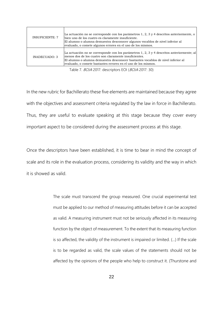| <b>INSUFICIENTE: 7</b> | La actuación no se corresponde con los parámetros 1, 2, 3 y 4 descritos anteriormente, o<br>bien uno de los cuatro es claramente insuficiente.<br>El alumno o alumna demuestra desconocer algunos vocablos de nivel inferior al<br>evaluado, o comete algunos errores en el uso de los mismos.         |
|------------------------|--------------------------------------------------------------------------------------------------------------------------------------------------------------------------------------------------------------------------------------------------------------------------------------------------------|
| INADECUADO: 3          | La actuación no se corresponde con los parámetros 1, 2, 3 y 4 descritos anteriormente; al<br>menos dos de los cuatro son claramente insuficientes.<br>El alumno o alumna demuestra desconocer bastantes vocablos de nivel inferior al<br>evaluado, o comete bastantes errores en el uso de los mismos. |

Table 7. BOJA 2017: descriptors EOI (BOJA 2017: 30)

In the new rubric for Bachillerato these five elements are maintained because they agree with the objectives and assessment criteria regulated by the law in force in Bachillerato. Thus, they are useful to evaluate speaking at this stage because they cover every important aspect to be considered during the assessment process at this stage.

Once the descriptors have been established, it is time to bear in mind the concept of scale and its role in the evaluation process, considering its validity and the way in which it is showed as valid.

> The scale must transcend the group measured. One crucial experimental test must be applied to our method of measuring attitudes before it can be accepted as valid. A measuring instrument must not be seriously affected in its measuring function by the object of measurement. To the extent that its measuring function is so affected, the validity of the instrument is impaired or limited. (…) If the scale is to be regarded as valid, the scale values of the statements should not be affected by the opinions of the people who help to construct it. (Thurstone and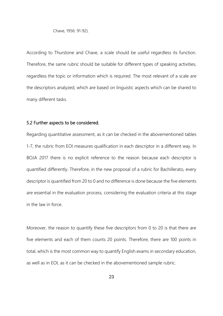Chave, 1956: 91-92).

According to Thurstone and Chave, a scale should be useful regardless its function. Therefore, the same rubric should be suitable for different types of speaking activities, regardless the topic or information which is required. The most relevant of a scale are the descriptors analyzed, which are based on linguistic aspects which can be shared to many different tasks.

# 5.2 Further aspects to be considered.

Regarding quantitative assessment, as it can be checked in the abovementioned tables 1-7, the rubric from EOI measures qualification in each descriptor in a different way. In BOJA 2017 there is no explicit reference to the reason because each descriptor is quantified differently. Therefore, in the new proposal of a rubric for Bachillerato, every descriptor is quantified from 20 to 0 and no difference is done because the five elements are essential in the evaluation process, considering the evaluation criteria at this stage in the law in force.

Moreover, the reason to quantify these five descriptors from 0 to 20 is that there are five elements and each of them counts 20 points. Therefore, there are 100 points in total, which is the most common way to quantify English exams in secondary education, as well as in EOI, as it can be checked in the abovementioned sample rubric.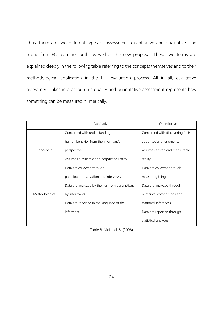Thus, there are two different types of assessment: quantitative and qualitative. The rubric from EOI contains both, as well as the new proposal. These two terms are explained deeply in the following table referring to the concepts themselves and to their methodological application in the EFL evaluation process. All in all, qualitative assessment takes into account its quality and quantitative assessment represents how something can be measured numerically.

|                | <b>Oualitative</b>                            | Ouantitative                     |  |
|----------------|-----------------------------------------------|----------------------------------|--|
|                | Concerned with understanding                  | Concerned with discovering facts |  |
|                | human behavior from the informant's           | about social phenomena.          |  |
| Conceptual     | perspective.                                  | Assumes a fixed and measurable   |  |
|                | Assumes a dynamic and negotiated reality      | reality                          |  |
|                | Data are collected through                    | Data are collected through       |  |
|                | participant observation and interviews        | measuring things                 |  |
|                | Data are analyzed by themes from descriptions | Data are analyzed through        |  |
| Methodological | by informants                                 | numerical comparisons and        |  |
|                | Data are reported in the language of the      | statistical inferences           |  |
|                | informant                                     | Data are reported through        |  |
|                |                                               | statistical analyses             |  |

Table 8. McLeod, S. (2008)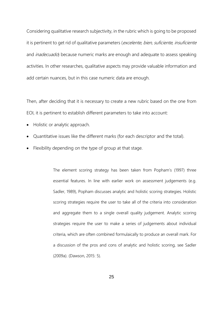Considering qualitative research subjectivity, in the rubric which is going to be proposed it is pertinent to get rid of qualitative parameters (excelente, bien, suficiente, insuficiente and *inadecuado*) because numeric marks are enough and adequate to assess speaking activities. In other researches, qualitative aspects may provide valuable information and add certain nuances, but in this case numeric data are enough.

Then, after deciding that it is necessary to create a new rubric based on the one from EOI, it is pertinent to establish different parameters to take into account:

- Holistic or analytic approach.
- Quantitative issues like the different marks (for each descriptor and the total).
- Flexibility depending on the type of group at that stage.

The element scoring strategy has been taken from Popham's (1997) three essential features. In line with earlier work on assessment judgements (e.g. Sadler, 1989), Popham discusses analytic and holistic scoring strategies. Holistic scoring strategies require the user to take all of the criteria into consideration and aggregate them to a single overall quality judgement. Analytic scoring strategies require the user to make a series of judgements about individual criteria, which are often combined formulaically to produce an overall mark. For a discussion of the pros and cons of analytic and holistic scoring, see Sadler (2009a). (Dawson, 2015: 5).

25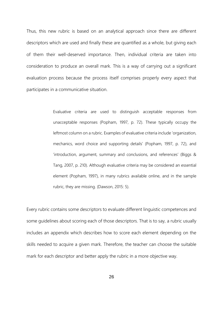Thus, this new rubric is based on an analytical approach since there are different descriptors which are used and finally these are quantified as a whole, but giving each of them their well-deserved importance. Then, individual criteria are taken into consideration to produce an overall mark. This is a way of carrying out a significant evaluation process because the process itself comprises properly every aspect that participates in a communicative situation.

> Evaluative criteria are used to distinguish acceptable responses from unacceptable responses (Popham, 1997, p. 72). These typically occupy the leftmost column on a rubric. Examples of evaluative criteria include 'organization, mechanics, word choice and supporting details' (Popham, 1997, p. 72), and 'introduction, argument, summary and conclusions, and references' (Biggs & Tang, 2007, p. 210). Although evaluative criteria may be considered an essential element (Popham, 1997), in many rubrics available online, and in the sample rubric, they are missing. (Dawson, 2015: 5).

Every rubric contains some descriptors to evaluate different linguistic competences and some guidelines about scoring each of those descriptors. That is to say, a rubric usually includes an appendix which describes how to score each element depending on the skills needed to acquire a given mark. Therefore, the teacher can choose the suitable mark for each descriptor and better apply the rubric in a more objective way.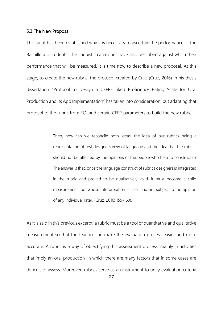# 5.3 The New Proposal

This far, it has been established why it is necessary to ascertain the performance of the Bachillerato students. The linguistic categories have also described against which their performance that will be measured. It is time now to describe a new proposal. At this stage, to create the new rubric, the protocol created by Cruz (Cruz, 2016) in his thesis dissertation "Protocol to Design a CEFR-Linked Proficiency Rating Scale for Oral Production and its App Implementation" has taken into consideration, but adapting that protocol to the rubric from EOI and certain CEFR parameters to build the new rubric.

> Then, how can we reconcile both ideas, the idea of our rubrics being a representation of test designers view of language and the idea that the rubrics should not be affected by the opinions of the people who help to construct it? The answer is that, once the language construct of rubrics designers is integrated in the rubric and proved to be qualitatively valid, it must become a solid measurement tool whose interpretation is clear and not subject to the opinion of any individual rater. (Cruz, 2016: 159-160).

As it is said in this previous excerpt, a rubric must be a tool of quantitative and qualitative measurement so that the teacher can make the evaluation process easier and more accurate. A rubric is a way of objectifying this assessment process, mainly in activities that imply an oral production, in which there are many factors that in some cases are difficult to assess. Moreover, rubrics serve as an instrument to unify evaluation criteria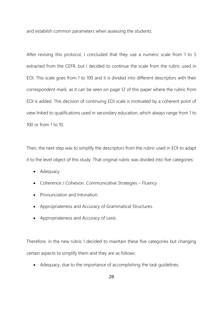and establish common parameters when assessing the students.

After revising this protocol, I concluded that they use a numeric scale from 1 to 5 extracted from the CEFR, but I decided to continue the scale from the rubric used in EOI. This scale goes from 1 to 100 and it is divided into different descriptors with their correspondent mark, as it can be seen on page 12 of this paper where the rubric from EOI is added. This decision of continuing EOI scale is motivated by a coherent point of view linked to qualifications used in secondary education, which always range from 1 to 100 or from 1 to 10.

Then, the next step was to simplify the descriptors from the rubric used in EOI to adapt it to the level object of this study. That original rubric was divided into five categories:

- Adequacy
- Coherence / Cohesion. Communicative Strategies Fluency
- Pronunciation and Intonation.
- Appropriateness and Accuracy of Grammatical Structures.
- Appropriateness and Accuracy of Lexis.

Therefore, in the new rubric I decided to maintain these five categories but changing certain aspects to simplify them and they are as follows:

• Adequacy, due to the importance of accomplishing the task guidelines.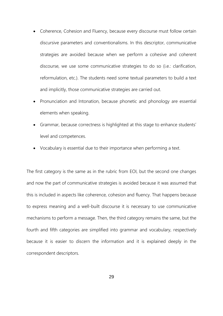- Coherence, Cohesion and Fluency, because every discourse must follow certain discursive parameters and conventionalisms. In this descriptor, communicative strategies are avoided because when we perform a cohesive and coherent discourse, we use some communicative strategies to do so (i.e.: clarification, reformulation, etc.). The students need some textual parameters to build a text and implicitly, those communicative strategies are carried out.
- Pronunciation and Intonation, because phonetic and phonology are essential elements when speaking.
- Grammar, because correctness is highlighted at this stage to enhance students' level and competences.
- Vocabulary is essential due to their importance when performing a text.

The first category is the same as in the rubric from EOI, but the second one changes and now the part of communicative strategies is avoided because it was assumed that this is included in aspects like coherence, cohesion and fluency. That happens because to express meaning and a well-built discourse it is necessary to use communicative mechanisms to perform a message. Then, the third category remains the same, but the fourth and fifth categories are simplified into grammar and vocabulary, respectively because it is easier to discern the information and it is explained deeply in the correspondent descriptors.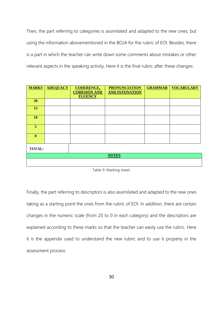Then, the part referring to categories is assimilated and adapted to the new ones, but using the information abovementioned in the BOJA for the rubric of EOI. Besides, there is a part in which the teacher can write down some comments about mistakes or other relevant aspects in the speaking activity. Here it is the final rubric after these changes:

| <b>MARKS</b>   | <b>ADEQUACY</b> | <b>COHERENCE,</b><br><b>COHESIÓN AND</b><br><b>FLUENCY</b> | <b>PRONUNCIATION</b><br><b>AND INTONATION</b> | <b>GRAMMAR</b> | <b>VOCABULARY</b> |
|----------------|-----------------|------------------------------------------------------------|-----------------------------------------------|----------------|-------------------|
| 20             |                 |                                                            |                                               |                |                   |
| 15             |                 |                                                            |                                               |                |                   |
| 10             |                 |                                                            |                                               |                |                   |
| 5 <sup>5</sup> |                 |                                                            |                                               |                |                   |
| $\mathbf{0}$   |                 |                                                            |                                               |                |                   |
| <b>TOTAL:</b>  |                 |                                                            |                                               |                |                   |
|                |                 |                                                            | <b>NOTES</b>                                  |                |                   |
|                |                 |                                                            |                                               |                |                   |

Table 9. Marking sheet.

Finally, the part referring to descriptors is also assimilated and adapted to the new ones taking as a starting point the ones from the rubric of EOI. In addition, there are certain changes in the numeric scale (from 20 to 0 in each category) and the descriptors are explained according to these marks so that the teacher can easily use the rubric. Here it is the appendix used to understand the new rubric and to use it properly in the assessment process: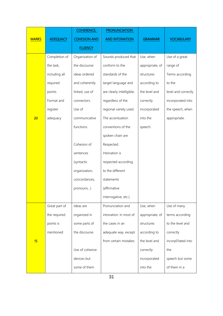|              |                 | <b>COHERENCE,</b>   | <b>PRONUNCIATION</b>      |                 |                     |
|--------------|-----------------|---------------------|---------------------------|-----------------|---------------------|
| <b>MARKS</b> | <b>ADEQUACY</b> | <b>COHESION AND</b> | <b>AND INTONATION</b>     | <b>GRAMMAR</b>  | <b>VOCABULARY</b>   |
|              |                 | <b>FLUENCY</b>      |                           |                 |                     |
|              | Completion of   | Organization of     | Sounds produced that      | Use, when       | Use of a great      |
|              | the task,       | the discourse:      | conform to the            | appropriate, of | range of            |
|              | including all   | ideas ordered       | standards of the          | structures      | Terms according     |
|              | required        | and coherently      | target language and       | according to    | to the              |
|              | points.         | linked, use of      | are clearly intelligible, | the level and   | level and correctly |
|              | Format and      | connectors.         | regardless of the         | correctly       | incorporated into   |
|              | register        | Use of              | regional variety used.    | incorporated    | the speech, when    |
| 20           | adequacy        | communicative       | The accentuation          | into the        | appropriate.        |
|              |                 | functions.          | conventions of the        | speech.         |                     |
|              |                 |                     | spoken chain are          |                 |                     |
|              |                 | Cohesion of         | Respected.                |                 |                     |
|              |                 | sentences           | Intonation is             |                 |                     |
|              |                 | (syntactic          | respected according       |                 |                     |
|              |                 | organization,       | to the different          |                 |                     |
|              |                 | concordances,       | statements                |                 |                     |
|              |                 | pronouns)           | (affirmative              |                 |                     |
|              |                 |                     | interrogative, etc.).     |                 |                     |
|              | Great part of   | Ideas are           | Pronunciation and         | Use, when       | Use of many         |
|              | the required    | organized in        | intonation: in most of    | appropriate, of | terms according     |
|              | points is       | some parts of       | the cases in an           | structures      | to the level and    |
|              | mentioned       | the discourse.      | adequate way, except      | according to    | correctly           |
| 15           |                 |                     | from certain mistakes.    | the level and   | incorp01ated into   |
|              |                 | Use of cohesive     |                           | correctly       | the                 |
|              |                 | devices but         |                           | incorporated    | speech but some     |
|              |                 | some of them        |                           | into the        | of them in a        |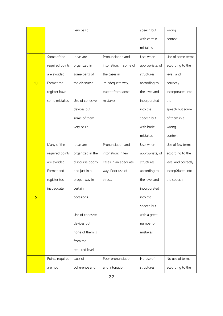|    |                 | very basic       |                        | speech but      | wrong               |
|----|-----------------|------------------|------------------------|-----------------|---------------------|
|    |                 |                  |                        | with certain    | context.            |
|    |                 |                  |                        | mistakes        |                     |
|    | Some of the     | Ideas are        | Pronunciation and      | Use, when       | Use of some terms   |
|    | required points | organized in     | intonation: in some of | appropriate, of | according to the    |
|    | are avoided.    | some parts of    | the cases in           | structures      | level! and          |
| 10 | Format md       | the discourse.   | .m adequate way,       | according to    | correctly           |
|    | register have   |                  | except from some       | the level and   | incorporated into   |
|    | some mistakes   | Use of cohesive  | mistakes.              | incorporated    | the                 |
|    |                 | devices but      |                        | into the        | speech but some     |
|    |                 | some of them     |                        | speech but      | of them in a        |
|    |                 | very basic.      |                        | with basic      | wrong               |
|    |                 |                  |                        | mistakes        | context.            |
|    | Many of the     | Ideas are        | Pronunciation and      | Use, when       | Use of few terms    |
|    | required points | organized in the | intonation: in few     | appropriate, of | according to the    |
|    | are avoided.    | discourse poorly | cases in an adequate   | structures      | level and correctly |
|    | Format and      | and just in a    | way. Poor use of       | according to    | incorp01ated into   |
|    | register too    | proper way in    | stress.                | the level and   | the speech.         |
|    | inadequate      | certain          |                        | incorporated    |                     |
| 5  |                 | occasions.       |                        | into the        |                     |
|    |                 |                  |                        | speech but      |                     |
|    |                 | Use of cohesive  |                        | with a great    |                     |
|    |                 | devices but      |                        | number of       |                     |
|    |                 | none of them is  |                        | mistakes        |                     |
|    |                 | from the         |                        |                 |                     |
|    |                 | required level.  |                        |                 |                     |
|    | Points required | Lack of          | Poor pronunciation     | No use of       | No use of terms     |
|    | are not         | coherence and    | and intonation,        | structures      | according to the    |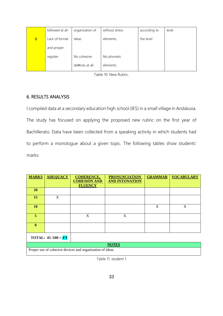|                | followed at all. | organization of  | without stress | according to | level |
|----------------|------------------|------------------|----------------|--------------|-------|
| $\overline{0}$ | Lack of format   | ideas.           | elements.      | the level    |       |
|                | and proper       |                  |                |              |       |
|                | register.        | No cohesive      | No phonetic    |              |       |
|                |                  | de Wices at all. | elements.      |              |       |

Table 10. New Rubric.

# 6. RESULTS ANALYSIS

I compiled data at a secondary education high school (IES) in a small village in Andalusia. The study has focused on applying the proposed new rubric on the first year of Bachillerato. Data have been collected from a speaking activity in which students had to perform a monologue about a given topic. The following tables show students' marks:

| <b>MARKS</b>                 | <b>ADEQUACY</b>                                           | <b>COHERENCE,</b><br><b>COHESIÓN AND</b><br><b>FLUENCY</b> | <b>PRONUNCIATION</b><br><b>AND INTONATION</b> | <b>GRAMMAR</b> | <b>VOCABULARY</b> |  |  |  |
|------------------------------|-----------------------------------------------------------|------------------------------------------------------------|-----------------------------------------------|----------------|-------------------|--|--|--|
| <b>20</b>                    |                                                           |                                                            |                                               |                |                   |  |  |  |
| 15                           | X                                                         |                                                            |                                               |                |                   |  |  |  |
| <b>10</b>                    |                                                           |                                                            |                                               | X              | X                 |  |  |  |
| 5                            |                                                           | X                                                          | X                                             |                |                   |  |  |  |
| $\mathbf{0}$                 |                                                           |                                                            |                                               |                |                   |  |  |  |
| <b>TOTAL:</b> $45/100 = 4.5$ |                                                           |                                                            |                                               |                |                   |  |  |  |
| <b>NOTES</b>                 |                                                           |                                                            |                                               |                |                   |  |  |  |
|                              | Proper use of cohesive devices and organization of ideas. |                                                            |                                               |                |                   |  |  |  |

Table 11: student 1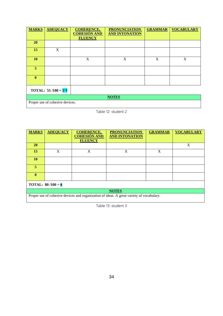| <b>MARKS</b>          | <b>ADEQUACY</b>                 | <b>COHERENCE,</b><br><b>COHESIÓN AND</b><br><b>FLUENCY</b> | <b>PRONUNCIATION</b><br><b>AND INTONATION</b> | <b>GRAMMAR</b>            | <b>VOCABULARY</b> |  |
|-----------------------|---------------------------------|------------------------------------------------------------|-----------------------------------------------|---------------------------|-------------------|--|
| <b>20</b>             |                                 |                                                            |                                               |                           |                   |  |
| 15                    | X                               |                                                            |                                               |                           |                   |  |
| 10                    |                                 | X                                                          | X                                             | $\boldsymbol{\mathrm{X}}$ | X                 |  |
| 5 <sup>5</sup>        |                                 |                                                            |                                               |                           |                   |  |
| $\mathbf{0}$          |                                 |                                                            |                                               |                           |                   |  |
| TOTAL: $55/100 = 5'5$ |                                 |                                                            |                                               |                           |                   |  |
| <b>NOTES</b>          |                                 |                                                            |                                               |                           |                   |  |
|                       | Proper use of cohesive devices. |                                                            |                                               |                           |                   |  |

Table 12: student 2

| <b>MARKS</b>                                                                             | <b>ADEQUACY</b> | <b>COHERENCE,</b><br><b>COHESIÓN AND</b> | <b>PRONUNCIATION</b><br><b>AND INTONATION</b> | <b>GRAMMAR</b> | <b>VOCABULARY</b> |  |  |
|------------------------------------------------------------------------------------------|-----------------|------------------------------------------|-----------------------------------------------|----------------|-------------------|--|--|
|                                                                                          |                 | <b>FLUENCY</b>                           |                                               |                |                   |  |  |
| <b>20</b>                                                                                |                 |                                          |                                               |                | X                 |  |  |
| 15                                                                                       | X               | X                                        | X                                             | X              |                   |  |  |
| <b>10</b>                                                                                |                 |                                          |                                               |                |                   |  |  |
| 5                                                                                        |                 |                                          |                                               |                |                   |  |  |
| $\mathbf{0}$                                                                             |                 |                                          |                                               |                |                   |  |  |
| <b>TOTAL:</b> $80/100 = 8$                                                               |                 |                                          |                                               |                |                   |  |  |
| <b>NOTES</b>                                                                             |                 |                                          |                                               |                |                   |  |  |
| Proper use of cohesive devices and organization of ideas. A great variety of vocabulary. |                 |                                          |                                               |                |                   |  |  |

Table 13: student 3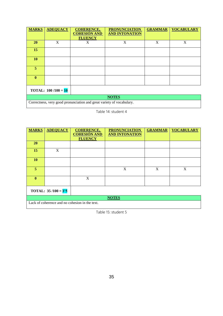| <b>MARKS</b>                 | <b>ADEQUACY</b> | <b>COHERENCE,</b><br><b>COHESIÓN AND</b><br><b>FLUENCY</b>            | <b>PRONUNCIATION</b><br><b>AND INTONATION</b> | <b>GRAMMAR</b> | <b>VOCABULARY</b> |  |
|------------------------------|-----------------|-----------------------------------------------------------------------|-----------------------------------------------|----------------|-------------------|--|
|                              |                 |                                                                       |                                               |                |                   |  |
| <b>20</b>                    | X               | X                                                                     | $\mathbf{X}$                                  | X              | X                 |  |
| 15                           |                 |                                                                       |                                               |                |                   |  |
| <b>10</b>                    |                 |                                                                       |                                               |                |                   |  |
| 5                            |                 |                                                                       |                                               |                |                   |  |
| $\mathbf{0}$                 |                 |                                                                       |                                               |                |                   |  |
| <b>TOTAL:</b> $100/100 = 10$ |                 |                                                                       |                                               |                |                   |  |
| <b>NOTES</b>                 |                 |                                                                       |                                               |                |                   |  |
|                              |                 | Correctness, very good pronunciation and great variety of vocabulary. |                                               |                |                   |  |

Table 14: student 4

| <b>MARKS</b> | <b>ADEQUACY</b>       | <b>COHERENCE,</b>                              | <b>PRONUNCIATION</b>  | <b>GRAMMAR</b> | <b>VOCABULARY</b> |  |
|--------------|-----------------------|------------------------------------------------|-----------------------|----------------|-------------------|--|
|              |                       | <b>COHESIÓN AND</b><br><b>FLUENCY</b>          | <b>AND INTONATION</b> |                |                   |  |
| <b>20</b>    |                       |                                                |                       |                |                   |  |
|              |                       |                                                |                       |                |                   |  |
| 15           | X                     |                                                |                       |                |                   |  |
|              |                       |                                                |                       |                |                   |  |
| <b>10</b>    |                       |                                                |                       |                |                   |  |
|              |                       |                                                |                       |                |                   |  |
| 5            |                       |                                                | X                     | X              | X                 |  |
|              |                       |                                                |                       |                |                   |  |
| $\mathbf{0}$ |                       | X                                              |                       |                |                   |  |
|              |                       |                                                |                       |                |                   |  |
|              |                       |                                                |                       |                |                   |  |
|              | TOTAL: $35/100 = 3'5$ |                                                |                       |                |                   |  |
| <b>NOTES</b> |                       |                                                |                       |                |                   |  |
|              |                       | Lack of coherence and no cohesion in the text. |                       |                |                   |  |

Table 15: student 5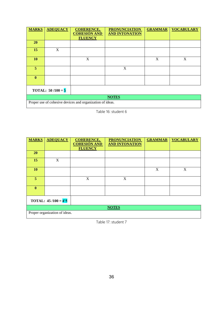| <b>MARKS</b>                          | <b>ADEQUACY</b>                                           | <b>COHERENCE,</b><br><b>COHESIÓN AND</b><br><b>FLUENCY</b> | <b>PRONUNCIATION</b><br><b>AND INTONATION</b> | <b>GRAMMAR</b> | <b>VOCABULARY</b> |  |  |  |
|---------------------------------------|-----------------------------------------------------------|------------------------------------------------------------|-----------------------------------------------|----------------|-------------------|--|--|--|
| 20                                    |                                                           |                                                            |                                               |                |                   |  |  |  |
| 15                                    | X                                                         |                                                            |                                               |                |                   |  |  |  |
| 10                                    |                                                           | X                                                          |                                               | X              | X                 |  |  |  |
| 5                                     |                                                           |                                                            | X                                             |                |                   |  |  |  |
| $\mathbf{0}$                          |                                                           |                                                            |                                               |                |                   |  |  |  |
| <b>TOTAL:</b> 50 /100 = $\frac{5}{5}$ |                                                           |                                                            |                                               |                |                   |  |  |  |
| <b>NOTES</b>                          |                                                           |                                                            |                                               |                |                   |  |  |  |
|                                       | Proper use of cohesive devices and organization of ideas. |                                                            |                                               |                |                   |  |  |  |

Table 16: student 6

| <b>MARKS</b>                         | <b>ADEQUACY</b> | <b>COHERENCE,</b><br><b>COHESIÓN AND</b><br><b>FLUENCY</b> | <b>PRONUNCIATION</b><br><b>AND INTONATION</b> | <b>GRAMMAR</b> | <b>VOCABULARY</b> |  |  |
|--------------------------------------|-----------------|------------------------------------------------------------|-----------------------------------------------|----------------|-------------------|--|--|
| <b>20</b>                            |                 |                                                            |                                               |                |                   |  |  |
| 15                                   | X               |                                                            |                                               |                |                   |  |  |
| 10                                   |                 |                                                            |                                               | X              | X                 |  |  |
| 5                                    |                 | X                                                          | X                                             |                |                   |  |  |
| $\mathbf{0}$                         |                 |                                                            |                                               |                |                   |  |  |
| <b>TOTAL:</b> 45/100 = $4^{\prime}5$ |                 |                                                            |                                               |                |                   |  |  |
| <b>NOTES</b>                         |                 |                                                            |                                               |                |                   |  |  |
| Proper organization of ideas.        |                 |                                                            |                                               |                |                   |  |  |

Table 17: student 7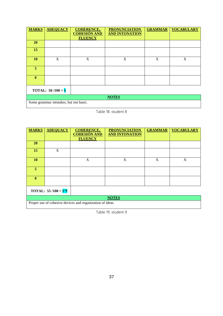| <b>MARKS</b> | <b>ADEQUACY</b>                       | <b>COHERENCE,</b><br><b>COHESIÓN AND</b><br><b>FLUENCY</b> | <b>PRONUNCIATION</b><br><b>AND INTONATION</b> | <b>GRAMMAR</b> | <b>VOCABULARY</b> |  |  |  |
|--------------|---------------------------------------|------------------------------------------------------------|-----------------------------------------------|----------------|-------------------|--|--|--|
| <b>20</b>    |                                       |                                                            |                                               |                |                   |  |  |  |
| 15           |                                       |                                                            |                                               |                |                   |  |  |  |
| 10           | X                                     | X                                                          | X                                             | X              | X                 |  |  |  |
| 5            |                                       |                                                            |                                               |                |                   |  |  |  |
| $\bf{0}$     |                                       |                                                            |                                               |                |                   |  |  |  |
|              | <b>TOTAL:</b> $50/100 = 5$            |                                                            |                                               |                |                   |  |  |  |
| <b>NOTES</b> |                                       |                                                            |                                               |                |                   |  |  |  |
|              | Some grammar mistakes, but not basic. |                                                            |                                               |                |                   |  |  |  |

Table 18: student 8

| <b>MARKS</b>          | <b>ADEQUACY</b> | <b>COHERENCE,</b><br><b>COHESIÓN AND</b> | <b>PRONUNCIATION</b><br><b>AND INTONATION</b> | <b>GRAMMAR</b> | <b>VOCABULARY</b> |
|-----------------------|-----------------|------------------------------------------|-----------------------------------------------|----------------|-------------------|
|                       |                 | <b>FLUENCY</b>                           |                                               |                |                   |
| <b>20</b>             |                 |                                          |                                               |                |                   |
| 15                    | X               |                                          |                                               |                |                   |
| 10                    |                 | X                                        | X                                             | X              | X                 |
| 5                     |                 |                                          |                                               |                |                   |
| $\mathbf{0}$          |                 |                                          |                                               |                |                   |
| TOTAL: $55/100 = 5'5$ |                 |                                          |                                               |                |                   |
|                       |                 |                                          | <b>NOTES</b>                                  |                |                   |

Proper use of cohesive devices and organization of ideas.

Table 19: student 9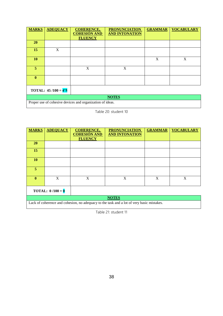| <b>MARKS</b> | <b>ADEQUACY</b>       | <b>COHERENCE,</b><br><b>COHESIÓN AND</b><br><b>FLUENCY</b>                                | <b>PRONUNCIATION</b><br><b>AND INTONATION</b> | <b>GRAMMAR</b> | <b>VOCABULARY</b> |  |  |
|--------------|-----------------------|-------------------------------------------------------------------------------------------|-----------------------------------------------|----------------|-------------------|--|--|
| <b>20</b>    |                       |                                                                                           |                                               |                |                   |  |  |
| 15           | X                     |                                                                                           |                                               |                |                   |  |  |
| 10           |                       |                                                                                           |                                               | X              | X                 |  |  |
| 5            |                       | X                                                                                         | X                                             |                |                   |  |  |
| $\mathbf{0}$ |                       |                                                                                           |                                               |                |                   |  |  |
|              | TOTAL: $45/100 = 4'5$ |                                                                                           |                                               |                |                   |  |  |
| $\sim$       | .                     | $\sim$<br>the contract of the contract of the contract of the contract of the contract of | <b>NOTES</b><br>$\sim$ $\sim$ $\sim$          |                |                   |  |  |

Table 20: student 10

| <b>MARKS</b> | <b>ADEQUACY</b>           | <b>COHERENCE,</b><br><b>COHESIÓN AND</b><br><b>FLUENCY</b> | <b>PRONUNCIATION</b><br><b>AND INTONATION</b> | <b>GRAMMAR</b> | <b>VOCABULARY</b> |
|--------------|---------------------------|------------------------------------------------------------|-----------------------------------------------|----------------|-------------------|
| <b>20</b>    |                           |                                                            |                                               |                |                   |
| 15           |                           |                                                            |                                               |                |                   |
| 10           |                           |                                                            |                                               |                |                   |
| 5            |                           |                                                            |                                               |                |                   |
| $\mathbf{0}$ | X                         | X                                                          | X                                             | X              | X                 |
|              | <b>TOTAL:</b> $0/100 = 0$ |                                                            |                                               |                |                   |

#### **NOTES**

Lack of coherence and cohesion, no adequacy to the task and a lot of very basic mistakes.

Table 21: student 11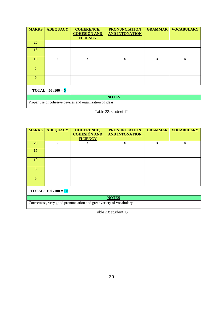| <b>MARKS</b> | <b>ADEQUACY</b>                       | <b>COHERENCE,</b><br><b>COHESIÓN AND</b><br><b>FLUENCY</b> | <b>PRONUNCIATION</b><br><b>AND INTONATION</b> | <b>GRAMMAR</b> | <b>VOCABULARY</b> |
|--------------|---------------------------------------|------------------------------------------------------------|-----------------------------------------------|----------------|-------------------|
| <b>20</b>    |                                       |                                                            |                                               |                |                   |
| 15           |                                       |                                                            |                                               |                |                   |
| <b>10</b>    | X                                     | X                                                          | X                                             | X              | $\mathbf X$       |
| 5            |                                       |                                                            |                                               |                |                   |
| $\mathbf{0}$ |                                       |                                                            |                                               |                |                   |
|              | <b>TOTAL:</b> 50 /100 = $\frac{5}{5}$ |                                                            |                                               |                |                   |
|              |                                       |                                                            | <b>NOTES</b>                                  |                |                   |

Table 22: student 12

| <b>MARKS</b> | <b>ADEQUACY</b>              | <b>COHERENCE,</b><br><b>COHESIÓN AND</b> | <b>PRONUNCIATION</b><br><b>AND INTONATION</b> | <b>GRAMMAR</b> | <b>VOCABULARY</b> |  |  |  |
|--------------|------------------------------|------------------------------------------|-----------------------------------------------|----------------|-------------------|--|--|--|
|              |                              | <b>FLUENCY</b>                           |                                               |                |                   |  |  |  |
| <b>20</b>    | X                            | X                                        | X                                             | X              | X                 |  |  |  |
| 15           |                              |                                          |                                               |                |                   |  |  |  |
| <b>10</b>    |                              |                                          |                                               |                |                   |  |  |  |
| 5.           |                              |                                          |                                               |                |                   |  |  |  |
| $\mathbf{0}$ |                              |                                          |                                               |                |                   |  |  |  |
|              | <b>TOTAL:</b> $100/100 = 10$ |                                          |                                               |                |                   |  |  |  |
|              | <b>NOTES</b>                 |                                          |                                               |                |                   |  |  |  |

Correctness, very good pronunciation and great variety of vocabulary.

Table 23: student 13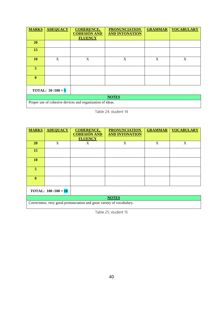| <b>MARKS</b>               | <b>ADEQUACY</b> | <b>COHERENCE,</b><br><b>COHESIÓN AND</b><br><b>FLUENCY</b> | <b>PRONUNCIATION</b><br><b>AND INTONATION</b> | <b>GRAMMAR</b> | <b>VOCABULARY</b> |
|----------------------------|-----------------|------------------------------------------------------------|-----------------------------------------------|----------------|-------------------|
| <b>20</b>                  |                 |                                                            |                                               |                |                   |
| 15                         |                 |                                                            |                                               |                |                   |
| <b>10</b>                  | X               | X                                                          | X                                             | X              | X                 |
| 5                          |                 |                                                            |                                               |                |                   |
| $\mathbf{0}$               |                 |                                                            |                                               |                |                   |
| <b>TOTAL:</b> $50/100 = 5$ |                 |                                                            |                                               |                |                   |
|                            |                 |                                                            | <b>NOTES</b>                                  |                |                   |

Table 24: student 14

| <b>MARKS</b> | <b>ADEQUACY</b>              | <b>COHERENCE,</b>                     | <b>PRONUNCIATION</b>  | <b>GRAMMAR</b> | <b>VOCABULARY</b> |  |  |  |
|--------------|------------------------------|---------------------------------------|-----------------------|----------------|-------------------|--|--|--|
|              |                              | <b>COHESIÓN AND</b><br><b>FLUENCY</b> | <b>AND INTONATION</b> |                |                   |  |  |  |
| <b>20</b>    | X                            | X                                     | X                     | X              | X                 |  |  |  |
| 15           |                              |                                       |                       |                |                   |  |  |  |
| <b>10</b>    |                              |                                       |                       |                |                   |  |  |  |
| 5            |                              |                                       |                       |                |                   |  |  |  |
| $\mathbf{0}$ |                              |                                       |                       |                |                   |  |  |  |
|              | <b>TOTAL:</b> $100/100 = 10$ |                                       |                       |                |                   |  |  |  |
|              | <b>NOTES</b>                 |                                       |                       |                |                   |  |  |  |

Correctness, very good pronunciation and great variety of vocabulary.

Table 25: student 15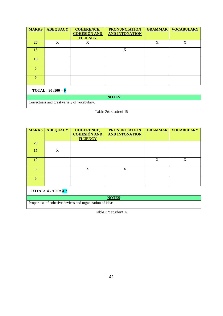| <b>MARKS</b>   | <b>ADEQUACY</b>             | <b>COHERENCE,</b><br><b>COHESIÓN AND</b><br><b>FLUENCY</b> | <b>PRONUNCIATION</b><br><b>AND INTONATION</b> | <b>GRAMMAR</b> | <b>VOCABULARY</b> |
|----------------|-----------------------------|------------------------------------------------------------|-----------------------------------------------|----------------|-------------------|
| <b>20</b>      | X                           | X                                                          |                                               | X              | $\mathbf X$       |
| 15             |                             |                                                            | X                                             |                |                   |
| <b>10</b>      |                             |                                                            |                                               |                |                   |
| 5 <sup>1</sup> |                             |                                                            |                                               |                |                   |
| $\mathbf{0}$   |                             |                                                            |                                               |                |                   |
|                | <b>TOTAL:</b> 90 /100 = $9$ |                                                            |                                               |                |                   |
|                |                             |                                                            | <b>NOTES</b>                                  |                |                   |

Correctness and great variety of vocabulary.

Proper use of cohesive devices and organization of ideas.

Table 26: student 16

| <b>MARKS</b> | <b>ADEQUACY</b>                       | <b>COHERENCE,</b>                     | <b>PRONUNCIATION</b>  | <b>GRAMMAR</b> | <b>VOCABULARY</b> |  |
|--------------|---------------------------------------|---------------------------------------|-----------------------|----------------|-------------------|--|
|              |                                       | <b>COHESIÓN AND</b><br><b>FLUENCY</b> | <b>AND INTONATION</b> |                |                   |  |
| <b>20</b>    |                                       |                                       |                       |                |                   |  |
| 15           | X                                     |                                       |                       |                |                   |  |
| 10           |                                       |                                       |                       | X              | X                 |  |
| 5            |                                       | X                                     | X                     |                |                   |  |
| $\mathbf{0}$ |                                       |                                       |                       |                |                   |  |
|              | <b>TOTAL:</b> 45 /100 = $4^{\prime}5$ |                                       |                       |                |                   |  |
| <b>NOTES</b> |                                       |                                       |                       |                |                   |  |

Table 27: student 17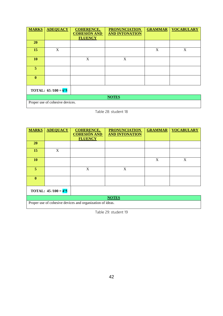| <b>MARKS</b> | <b>ADEQUACY</b>                 | <b>COHERENCE,</b><br><b>COHESIÓN AND</b><br><b>FLUENCY</b> | <b>PRONUNCIATION</b><br><b>AND INTONATION</b> | <b>GRAMMAR</b>            | <b>VOCABULARY</b> |  |  |
|--------------|---------------------------------|------------------------------------------------------------|-----------------------------------------------|---------------------------|-------------------|--|--|
| <b>20</b>    |                                 |                                                            |                                               |                           |                   |  |  |
| 15           | X                               |                                                            |                                               | $\boldsymbol{\mathrm{X}}$ | X                 |  |  |
| <b>10</b>    |                                 | X                                                          | X                                             |                           |                   |  |  |
| 5            |                                 |                                                            |                                               |                           |                   |  |  |
| $\bf{0}$     |                                 |                                                            |                                               |                           |                   |  |  |
|              | TOTAL: $65/100 = 6'5$           |                                                            |                                               |                           |                   |  |  |
| <b>NOTES</b> |                                 |                                                            |                                               |                           |                   |  |  |
|              | Proper use of cohesive devices. |                                                            |                                               |                           |                   |  |  |

Table 28: student 18

| <b>MARKS</b> | <b>ADEQUACY</b>              | <b>COHERENCE,</b>                     | <b>PRONUNCIATION</b>  | <b>GRAMMAR</b> | <b>VOCABULARY</b> |
|--------------|------------------------------|---------------------------------------|-----------------------|----------------|-------------------|
|              |                              | <b>COHESIÓN AND</b><br><b>FLUENCY</b> | <b>AND INTONATION</b> |                |                   |
| <b>20</b>    |                              |                                       |                       |                |                   |
| 15           | X                            |                                       |                       |                |                   |
| 10           |                              |                                       |                       | X              | X                 |
| 5            |                              | X                                     | X                     |                |                   |
| $\mathbf{0}$ |                              |                                       |                       |                |                   |
|              | <b>TOTAL:</b> $45/100 = 4.5$ |                                       |                       |                |                   |
|              |                              |                                       | <b>NOTES</b>          |                |                   |

Proper use of cohesive devices and organization of ideas.

Table 29: student 19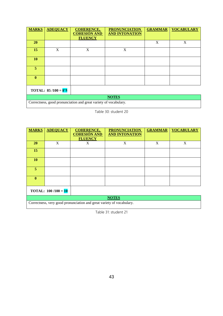| <b>MARKS</b>          | <b>ADEQUACY</b> | <b>COHERENCE,</b><br><b>COHESIÓN AND</b><br><b>FLUENCY</b>       | <b>PRONUNCIATION</b><br><b>AND INTONATION</b> | <b>GRAMMAR</b> | <b>VOCABULARY</b> |  |  |
|-----------------------|-----------------|------------------------------------------------------------------|-----------------------------------------------|----------------|-------------------|--|--|
| <b>20</b>             |                 |                                                                  |                                               | X              | X                 |  |  |
| 15                    | X               | X                                                                | X                                             |                |                   |  |  |
| 10                    |                 |                                                                  |                                               |                |                   |  |  |
| 5                     |                 |                                                                  |                                               |                |                   |  |  |
| $\mathbf{0}$          |                 |                                                                  |                                               |                |                   |  |  |
| TOTAL: $85/100 = 8'5$ |                 |                                                                  |                                               |                |                   |  |  |
|                       | <b>NOTES</b>    |                                                                  |                                               |                |                   |  |  |
|                       |                 | Correctness, good pronunciation and great variety of vocabulary. |                                               |                |                   |  |  |

Table 30: student 20

| <b>MARKS</b>                 | <b>ADEQUACY</b> | <b>COHERENCE,</b><br><b>COHESIÓN AND</b><br><b>FLUENCY</b> | <b>PRONUNCIATION</b><br><b>AND INTONATION</b> | <b>GRAMMAR</b> | <b>VOCABULARY</b> |  |  |
|------------------------------|-----------------|------------------------------------------------------------|-----------------------------------------------|----------------|-------------------|--|--|
| <b>20</b>                    | X               | X                                                          | X                                             | X              | X                 |  |  |
|                              |                 |                                                            |                                               |                |                   |  |  |
| 15                           |                 |                                                            |                                               |                |                   |  |  |
| <b>10</b>                    |                 |                                                            |                                               |                |                   |  |  |
| 5.                           |                 |                                                            |                                               |                |                   |  |  |
| $\mathbf{0}$                 |                 |                                                            |                                               |                |                   |  |  |
| <b>TOTAL:</b> $100/100 = 10$ |                 |                                                            |                                               |                |                   |  |  |
|                              | <b>NOTES</b>    |                                                            |                                               |                |                   |  |  |

Correctness, very good pronunciation and great variety of vocabulary.

Table 31: student 21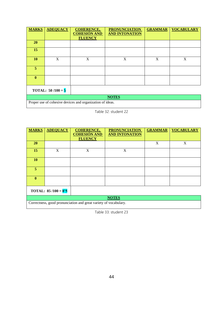| <b>MARKS</b> | <b>ADEQUACY</b>            | <b>COHERENCE,</b><br><b>COHESIÓN AND</b><br><b>FLUENCY</b> | <b>PRONUNCIATION</b><br><b>AND INTONATION</b> | <b>GRAMMAR</b> | <b>VOCABULARY</b> |  |
|--------------|----------------------------|------------------------------------------------------------|-----------------------------------------------|----------------|-------------------|--|
| <b>20</b>    |                            |                                                            |                                               |                |                   |  |
| 15           |                            |                                                            |                                               |                |                   |  |
| <b>10</b>    | X                          | X                                                          | X                                             | X              | X                 |  |
| 5            |                            |                                                            |                                               |                |                   |  |
| $\mathbf{0}$ |                            |                                                            |                                               |                |                   |  |
|              | <b>TOTAL:</b> $50/100 = 5$ |                                                            |                                               |                |                   |  |
|              | <b>NOTES</b>               |                                                            |                                               |                |                   |  |

Table 32: student 22

| <b>MARKS</b> | <b>ADEQUACY</b>       | <b>COHERENCE,</b><br><b>COHESIÓN AND</b> | <b>PRONUNCIATION</b><br><b>AND INTONATION</b> | <b>GRAMMAR</b> | <b>VOCABULARY</b> |  |
|--------------|-----------------------|------------------------------------------|-----------------------------------------------|----------------|-------------------|--|
|              |                       | <b>FLUENCY</b>                           |                                               |                |                   |  |
| <b>20</b>    |                       |                                          |                                               | X              | X                 |  |
| 15           | X                     | X                                        | X                                             |                |                   |  |
| 10           |                       |                                          |                                               |                |                   |  |
| 5            |                       |                                          |                                               |                |                   |  |
| $\mathbf{0}$ |                       |                                          |                                               |                |                   |  |
|              | TOTAL: $85/100 = 8'5$ |                                          |                                               |                |                   |  |
|              | <b>NOTES</b>          |                                          |                                               |                |                   |  |

Correctness, good pronunciation and great variety of vocabulary.

Table 33: student 23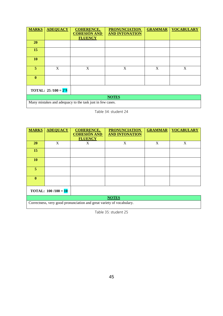| <b>MARKS</b>          | <b>ADEQUACY</b> | <b>COHERENCE,</b><br><b>COHESIÓN AND</b><br><b>FLUENCY</b> | <b>PRONUNCIATION</b><br><b>AND INTONATION</b> | <b>GRAMMAR</b> | <b>VOCABULARY</b>         |
|-----------------------|-----------------|------------------------------------------------------------|-----------------------------------------------|----------------|---------------------------|
| <b>20</b>             |                 |                                                            |                                               |                |                           |
| 15                    |                 |                                                            |                                               |                |                           |
| 10                    |                 |                                                            |                                               |                |                           |
| 5                     | X               | X                                                          | X                                             | $\mathbf X$    | $\boldsymbol{\mathrm{X}}$ |
| $\mathbf{0}$          |                 |                                                            |                                               |                |                           |
| TOTAL: $25/100 = 2'5$ |                 |                                                            |                                               |                |                           |
| $\sim$ $\sim$ $\sim$  | .<br>.          | $\sim$ $\sim$ $\sim$ $\sim$ $\sim$ $\sim$                  | <b>NOTES</b>                                  |                |                           |

Many mistakes and adequacy to the task just in few cases.

Table 34: student 24

| <b>MARKS</b> | <b>ADEQUACY</b>              | <b>COHERENCE,</b>                     | <b>PRONUNCIATION</b>  | <b>GRAMMAR</b> | <b>VOCABULARY</b> |  |
|--------------|------------------------------|---------------------------------------|-----------------------|----------------|-------------------|--|
|              |                              | <b>COHESIÓN AND</b><br><b>FLUENCY</b> | <b>AND INTONATION</b> |                |                   |  |
| <b>20</b>    | X                            | X                                     | X                     | X              | X                 |  |
| 15           |                              |                                       |                       |                |                   |  |
| <b>10</b>    |                              |                                       |                       |                |                   |  |
| 5            |                              |                                       |                       |                |                   |  |
| $\mathbf{0}$ |                              |                                       |                       |                |                   |  |
|              | <b>TOTAL:</b> $100/100 = 10$ |                                       |                       |                |                   |  |
|              | <b>NOTES</b>                 |                                       |                       |                |                   |  |

Correctness, very good pronunciation and great variety of vocabulary.

Table 35: student 25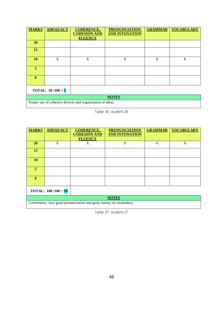| <b>MARKS</b>               | <b>ADEQUACY</b> | <b>COHERENCE,</b><br><b>COHESIÓN AND</b><br><b>FLUENCY</b> | <b>PRONUNCIATION</b><br><b>AND INTONATION</b> | <b>GRAMMAR</b>            | <b>VOCABULARY</b>         |
|----------------------------|-----------------|------------------------------------------------------------|-----------------------------------------------|---------------------------|---------------------------|
| <b>20</b>                  |                 |                                                            |                                               |                           |                           |
| 15                         |                 |                                                            |                                               |                           |                           |
| <b>10</b>                  | X               | X                                                          | $\boldsymbol{\mathrm{X}}$                     | $\boldsymbol{\mathrm{X}}$ | $\boldsymbol{\mathrm{X}}$ |
| 5                          |                 |                                                            |                                               |                           |                           |
| $\mathbf{0}$               |                 |                                                            |                                               |                           |                           |
| <b>TOTAL:</b> $50/100 = 5$ |                 |                                                            |                                               |                           |                           |
|                            |                 |                                                            | <b>NOTES</b>                                  |                           |                           |

Table 36: student 26

| <b>MARKS</b> | <b>ADEQUACY</b>              | <b>COHERENCE,</b>                     | <b>PRONUNCIATION</b>  | <b>GRAMMAR</b> | <b>VOCABULARY</b> |  |
|--------------|------------------------------|---------------------------------------|-----------------------|----------------|-------------------|--|
|              |                              | <b>COHESIÓN AND</b><br><b>FLUENCY</b> | <b>AND INTONATION</b> |                |                   |  |
| <b>20</b>    | X                            | X                                     | X                     | X              | X                 |  |
| 15           |                              |                                       |                       |                |                   |  |
| <b>10</b>    |                              |                                       |                       |                |                   |  |
| 5.           |                              |                                       |                       |                |                   |  |
| $\mathbf{0}$ |                              |                                       |                       |                |                   |  |
|              | <b>TOTAL:</b> $100/100 = 10$ |                                       |                       |                |                   |  |
|              | <b>NOTES</b>                 |                                       |                       |                |                   |  |

Correctness, very good pronunciation and great variety of vocabulary.

Table 37: student 27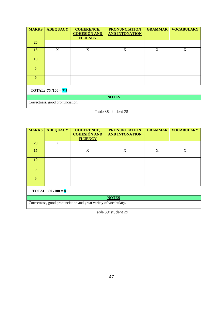| <b>MARKS</b>          | <b>ADEQUACY</b>                  | <b>COHERENCE,</b><br><b>COHESIÓN AND</b><br><b>FLUENCY</b> | <b>PRONUNCIATION</b><br><b>AND INTONATION</b> | <b>GRAMMAR</b> | <b>VOCABULARY</b> |
|-----------------------|----------------------------------|------------------------------------------------------------|-----------------------------------------------|----------------|-------------------|
| 20                    |                                  |                                                            |                                               |                |                   |
| 15                    | X                                | X                                                          | X                                             | X              | X                 |
| 10                    |                                  |                                                            |                                               |                |                   |
| 5                     |                                  |                                                            |                                               |                |                   |
| $\mathbf{0}$          |                                  |                                                            |                                               |                |                   |
| TOTAL: $75/100 = 7'5$ |                                  |                                                            |                                               |                |                   |
| <b>NOTES</b>          |                                  |                                                            |                                               |                |                   |
|                       | Correctness, good pronunciation. |                                                            |                                               |                |                   |

Table 38: student 28

| <b>MARKS</b>   | <b>ADEQUACY</b>            | <b>COHERENCE,</b><br><b>COHESIÓN AND</b> | <b>PRONUNCIATION</b><br><b>AND INTONATION</b> | <b>GRAMMAR</b> | <b>VOCABULARY</b> |  |  |
|----------------|----------------------------|------------------------------------------|-----------------------------------------------|----------------|-------------------|--|--|
|                |                            | <b>FLUENCY</b>                           |                                               |                |                   |  |  |
| <b>20</b>      | X                          |                                          |                                               |                |                   |  |  |
| 15             |                            | X                                        | X                                             | X              | X                 |  |  |
| <b>10</b>      |                            |                                          |                                               |                |                   |  |  |
| $\overline{5}$ |                            |                                          |                                               |                |                   |  |  |
| $\mathbf{0}$   |                            |                                          |                                               |                |                   |  |  |
|                | <b>TOTAL:</b> $80/100 = 8$ |                                          |                                               |                |                   |  |  |
|                | <b>NOTES</b>               |                                          |                                               |                |                   |  |  |

Correctness, good pronunciation and great variety of vocabulary.

Table 39: student 29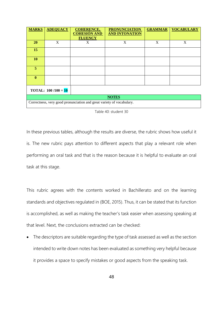| <b>MARKS</b>                                                          | <b>ADEQUACY</b> | <b>COHERENCE,</b><br><b>COHESIÓN AND</b><br><b>FLUENCY</b> | <b>PRONUNCIATION</b><br><b>AND INTONATION</b> | <b>GRAMMAR</b> | <b>VOCABULARY</b> |  |
|-----------------------------------------------------------------------|-----------------|------------------------------------------------------------|-----------------------------------------------|----------------|-------------------|--|
| <b>20</b>                                                             | X               | X                                                          | X                                             | X              | X                 |  |
| 15                                                                    |                 |                                                            |                                               |                |                   |  |
| 10                                                                    |                 |                                                            |                                               |                |                   |  |
| 5.                                                                    |                 |                                                            |                                               |                |                   |  |
| $\mathbf{0}$                                                          |                 |                                                            |                                               |                |                   |  |
| <b>TOTAL:</b> $100/100 = 10$                                          |                 |                                                            |                                               |                |                   |  |
| <b>NOTES</b>                                                          |                 |                                                            |                                               |                |                   |  |
| Correctness, very good pronunciation and great variety of vocabulary. |                 |                                                            |                                               |                |                   |  |

|  | Table 40: student 30 |  |  |  |
|--|----------------------|--|--|--|
|--|----------------------|--|--|--|

In these previous tables, although the results are diverse, the rubric shows how useful it is. The new rubric pays attention to different aspects that play a relevant role when performing an oral task and that is the reason because it is helpful to evaluate an oral task at this stage.

This rubric agrees with the contents worked in Bachillerato and on the learning standards and objectives regulated in (BOE, 2015). Thus, it can be stated that its function is accomplished, as well as making the teacher's task easier when assessing speaking at that level. Next, the conclusions extracted can be checked:

• The descriptors are suitable regarding the type of task assessed as well as the section intended to write down notes has been evaluated as something very helpful because it provides a space to specify mistakes or good aspects from the speaking task.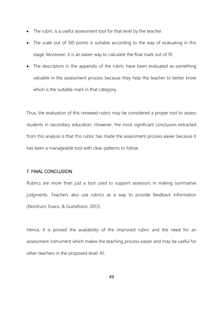- The rubric is a useful assessment tool for that level by the teacher.
- The scale out of 100 points is suitable according to the way of evaluating in this stage. Moreover, it is an easier way to calculate the final mark out of 10.
- The descriptors in the appendix of the rubric have been evaluated as something valuable in the assessment process because they help the teacher to better know which is the suitable mark in that category.

Thus, the evaluation of this renewed rubric may be considered a proper tool to assess students in secondary education. However, the most significant conclusion extracted from this analysis is that this rubric has made the assessment process easier because it has been a manageable tool with clear patterns to follow.

# 7. FINAL CONCLUSION

Rubrics are more than just a tool used to support assessors in making summative judgments. Teachers also use rubrics as a way to provide feedback information (Nordrum, Evans, & Gustafsson, 2013).

Hence, it is proved the availability of the improved rubric and the need for an assessment instrument which makes the teaching process easier and may be useful for other teachers in the proposed level: A1.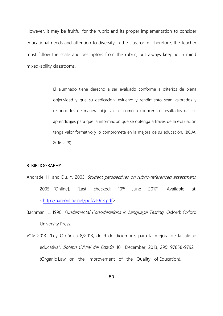However, it may be fruitful for the rubric and its proper implementation to consider educational needs and attention to diversity in the classroom. Therefore, the teacher must follow the scale and descriptors from the rubric, but always keeping in mind mixed-ability classrooms.

> El alumnado tiene derecho a ser evaluado conforme a criterios de plena objetividad y que su dedicación, esfuerzo y rendimiento sean valorados y reconocidos de manera objetiva, así como a conocer los resultados de sus aprendizajes para que la información que se obtenga a través de la evaluación tenga valor formativo y lo comprometa en la mejora de su educación. (BOJA, 2016: 228).

### 8. BIBLIOGRAPHY

- Andrade, H. and Du, Y. 2005. Student perspectives on rubric-referenced assessment. 2005. [Online]. [Last checked: 10<sup>th</sup> June 2017]. Available at: [<http://pareonline.net/pdf/v10n3.pdf>](http://pareonline.net/pdf/v10n3.pdf).
- Bachman, L. 1990. Fundamental Considerations in Language Testing. Oxford: Oxford University Press.
- BOE 2013. "Ley Orgánica 8/2013, de 9 de diciembre, para la mejora de la calidad educativa". Boletín Oficial del Estado, 10<sup>th</sup> December, 2013, 295: 97858-97921. (Organic Law on the Improvement of the Quality of Education).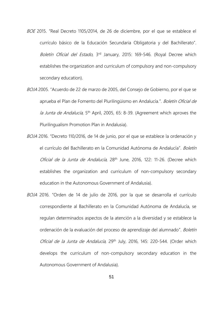- BOE 2015. "Real Decreto 1105/2014, de 26 de diciembre, por el que se establece el currículo básico de la Educación Secundaria Obligatoria y del Bachillerato". Boletín Oficial del Estado, 3<sup>rd</sup> January, 2015: 169-546. (Royal Decree which establishes the organization and curriculum of compulsory and non-compulsory secondary education).
- BOJA 2005. "Acuerdo de 22 de marzo de 2005, del Consejo de Gobierno, por el que se aprueba el Plan de Fomento del Plurilingüismo en Andalucía.". Boletín Oficial de la Junta de Andalucía, 5<sup>th</sup> April, 2005, 65: 8-39. (Agreement which aproves the Plurilingualism Promotion Plan in Andalusia).
- BOJA 2016. "Decreto 110/2016, de 14 de junio, por el que se establece la ordenación y el currículo del Bachillerato en la Comunidad Autónoma de Andalucía". Boletín Oficial de la Junta de Andalucía, 28<sup>th</sup> June, 2016, 122: 11-26. (Decree which establishes the organization and curriculum of non-compulsory secondary education in the Autonomous Government of Andalusia).
- BOJA 2016. "Orden de 14 de julio de 2016, por la que se desarrolla el currículo correspondiente al Bachillerato en la Comunidad Autónoma de Andalucía, se regulan determinados aspectos de la atención a la diversidad y se establece la ordenación de la evaluación del proceso de aprendizaje del alumnado". Boletín Oficial de la Junta de Andalucía, 29<sup>th</sup> July, 2016, 145: 220-544. (Order which develops the curriculum of non-compulsory secondary education in the Autonomous Government of Andalusia).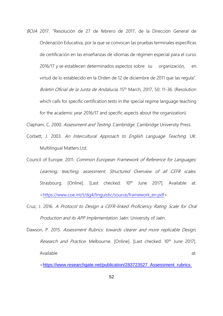BOJA 2017. "Resolución de 27 de febrero de 2017, de la Dirección General de Ordenación Educativa, por la que se convocan las pruebas terminales específicas de certificación en las enseñanzas de idiomas de régimen especial para el curso 2016/17 y se establecen determinados aspectos sobre su organización, en virtud de lo establecido en la Orden de 12 de diciembre de 2011 que las regula". Boletín Oficial de la Junta de Andalucía, 15<sup>th</sup> March, 2017, 50: 11-36. (Resolution which calls for specific certification tests in the special regime language teaching for the academic year 2016/17 and specific aspects about the organization).

Clapham, C. 2000. Assessment and Testing. Cambridge: Cambridge University Press.

- Corbett, J. 2003. An Intercultural Approach to English Language Teaching. UK: Multilingual Matters Ltd.
- Council of Europe. 2011. Common European Framework of Reference for Languages: Learning, teaching, assessment. Structured Overview of all CEFR scales. Strasbourg. [Online]. [Last checked: 10<sup>th</sup> June 2017]. Available at: [<https://www.coe.int/t/dg4/linguistic/source/framework\\_en.pdf>](https://www.coe.int/t/dg4/linguistic/source/framework_en.pdf).
- Cruz, J. 2016. A Protocol to Design a CEFR-linked Proficiency Rating Scale for Oral Production and its APP Implementation. Jaén: University of Jaén.
- Dawson, P. 2015. Assessment Rubrics: towards clearer and more replicable Design, Research and Practice. Melbourne. [Online]. [Last checked: 10<sup>th</sup> June 2017]. Available at:

<[https://www.researchgate.net/publication/283723527\\_Assessment\\_rubrics](https://www.researchgate.net/publication/283723527_Assessment_rubrics%20toward%20clearer_and_more_replicable_design_research_and_practice)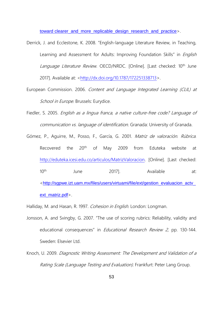[toward clearer\\_and\\_more\\_replicable\\_design\\_research\\_and\\_practice](https://www.researchgate.net/publication/283723527_Assessment_rubrics%20toward%20clearer_and_more_replicable_design_research_and_practice)>.

- Derrick, J. and Ecclestone, K. 2008. "English-language Literature Review, in Teaching, Learning and Assessment for Adults: Improving Foundation Skills" in *English* Language Literature Review. OECD/NRDC. [Online]. [Last checked: 10<sup>th</sup> June 2017]. Available at: [<http://dx.doi.org/10.1787/172251338713>](http://dx.doi.org/10.1787/172251338713).
- European Commission. 2006. Content and Language Integrated Learning (CLIL) at School in Europe. Brussels: Eurydice.
- Fiedler, S. 2005. English as a lingua franca, a native culture-free code? Language of communication vs. language of identification. Granada: University of Granada.
- Gómez, P., Aguirre, M., Posso, F., García, G. 2001. Matriz de valoración. Rúbrica. Recovered the 20<sup>th</sup> of May 2009 from Eduteka website at [http://eduteka.icesi.edu.co/articulos/MatrizValoracion.](http://eduteka.icesi.edu.co/articulos/MatrizValoracion) [Online]. [Last checked: 10<sup>th</sup> June 2017]. Available at: <[http://sgpwe.izt.uam.mx/files/users/virtuami/file/ext/gestion\\_evaluacion\\_actv\\_](http://sgpwe.izt.uam.mx/files/users/virtuami/file/ext/gestion_evaluacion_actv_ext_matriz.pdf) [ext\\_matriz.pdf](http://sgpwe.izt.uam.mx/files/users/virtuami/file/ext/gestion_evaluacion_actv_ext_matriz.pdf)>.

Halliday, M. and Hasan, R. 1997. Cohesion in English. London: Longman.

- Jonsson, A. and Svingby, G. 2007. "The use of scoring rubrics: Reliability, validity and educational consequences" in *Educational Research Review 2*, pp. 130-144. Sweden: Elsevier Ltd.
- Knoch, U. 2009. Diagnostic Writing Assessment: The Development and Validation of a Rating Scale (Language Testing and Evaluation). Frankfurt: Peter Lang Group.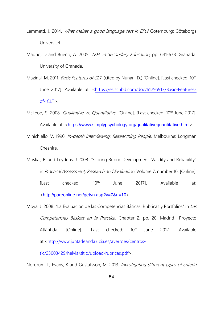- Lemmetti, J. 2014. What makes a good language test in EFL? Gotemburg: Göteborgs Universitet.
- Madrid, D and Bueno, A. 2005. TEFL in Secondary Education, pp. 641-678. Granada: University of Granada.
- Mazinal, M. 2011. *Basic Features of CLT*. (cited by Nunan, D.) [Online]. [Last checked: 10<sup>th</sup> June 2017]. Available at: [<https://es.scribd.com/doc/61295913/Basic-Features](https://es.scribd.com/doc/61295913/Basic-Features-of-%20CLT)of- [CLT>](https://es.scribd.com/doc/61295913/Basic-Features-of-%20CLT).
- McLeod, S. 2008. *Qualitative vs. Quantitative*. [Online]. [Last checked: 10<sup>th</sup> June 2017]. Available at: <<https://www.simplypsychology.org/qualitativequantitative.html>>.
- Minichiello, V. 1990. *In-depth Interviewing: Researching People*. Melbourne: Longman Cheshire.
- Moskal, B. and Leydens, J 2008. "Scoring Rubric Development: Validity and Reliability" in Practical Assessment, Research and Evaluation. Volume 7, number 10. [Online]. [Last checked: 10th June 2017]. Available at: <<http://pareonline.net/getvn.asp?v=7&n=10>>.
- Moya, J. 2008. "La Evaluación de las Competencias Básicas: Rúbricas y Portfolios" in Las Competencias Básicas en la Práctica. Chapter 2, pp. 20. Madrid : Proyecto Atlántida. [Online]. [Last checked: 10<sup>th</sup> June 2017] .Available at:[<http://www.juntadeandalucia.es/averroes/centros-](http://www.juntadeandalucia.es/averroes/centros-tic/23003429/helvia/sitio/upload/rubricas.pdf)

[tic/23003429/helvia/sitio/upload/rubricas.pdf>](http://www.juntadeandalucia.es/averroes/centros-tic/23003429/helvia/sitio/upload/rubricas.pdf).

Nordrum, L; Evans, K and Gustafsson, M. 2013. Investigating different types of criteria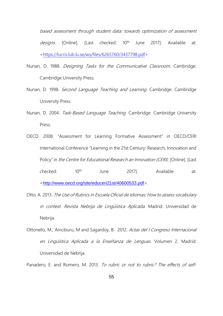based assessment through student data: towards optimization of assessment designs. [Online]. [Last checked: 10<sup>th</sup> June 2017]. Available at: [<https://lucris.lub.lu.se/ws/files/6265760/3437798.pdf>](https://lucris.lub.lu.se/ws/files/6265760/3437798.pdf).

- Nunan, D. 1988. Designing Tasks for the Communicative Classroom. Cambridge: Cambridge University Press.
- Nunan, D. 1998. Second Language Teaching and Learning. Cambridge: Cambridge University Press.
- Nunan, D. 2004. Task-Based Language Teaching. Cambridge: Cambridge University Press.
- OECD. 2008. "Assessment for Learning Formative Assessment" in OECD/CERI International Conference "Learning in the 21st Century: Research, Innovation and Policy" in the Centre for Educational Research an Innovation (CERI). [Online]. [Last checked: 10<sup>th</sup> June 2017]. Available at: <<http://www.oecd.org/site/educeri21st/40600533.pdf>>.
- Otto, A. 2013. The Use of Rubrics in Escuela Oficial de Idiomas: How to assess vocabulary in context. Revista Nebrija de Lingüística Aplicada. Madrid: Universidad de Nebrija.
- Ottonello, M.; Ainciburu, M and Sagardoy, B. 2012. Actas del I Congreso Internacional en Lingüística Aplicada a la Enseñanza de Lenguas. Volumen 2. Madrid: Universidad de Nebrija.

Panadero, E. and Romero, M. 2013. To rubric or not to rubric? The effects of self-